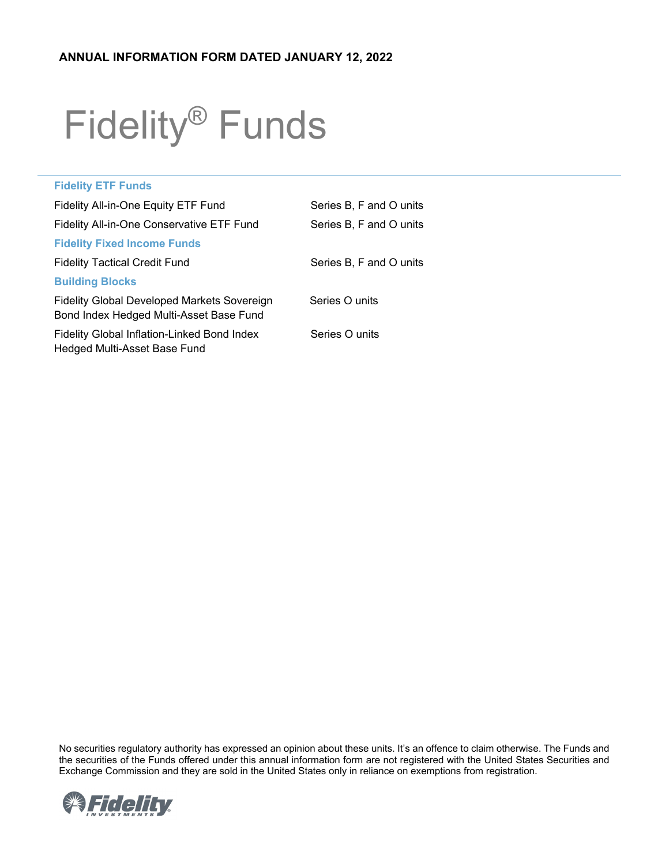# Fidelity® Funds

| <b>Fidelity ETF Funds</b>                                                              |                         |
|----------------------------------------------------------------------------------------|-------------------------|
| Fidelity All-in-One Equity ETF Fund                                                    | Series B, F and O units |
| Fidelity All-in-One Conservative ETF Fund                                              | Series B, F and O units |
| <b>Fidelity Fixed Income Funds</b>                                                     |                         |
| <b>Fidelity Tactical Credit Fund</b>                                                   | Series B, F and O units |
| <b>Building Blocks</b>                                                                 |                         |
| Fidelity Global Developed Markets Sovereign<br>Bond Index Hedged Multi-Asset Base Fund | Series O units          |
| Fidelity Global Inflation-Linked Bond Index<br>Hedged Multi-Asset Base Fund            | Series O units          |
|                                                                                        |                         |

No securities regulatory authority has expressed an opinion about these units. It's an offence to claim otherwise. The Funds and the securities of the Funds offered under this annual information form are not registered with the United States Securities and Exchange Commission and they are sold in the United States only in reliance on exemptions from registration.

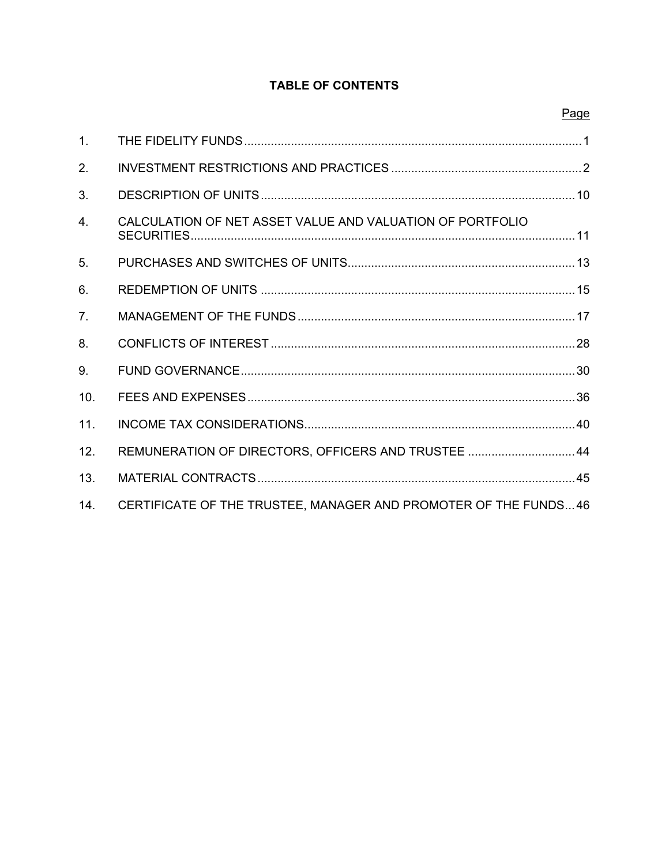# **TABLE OF CONTENTS**

| ≏<br>ı۲<br>- 24 |
|-----------------|
|-----------------|

| 1.               |                                                                 |  |
|------------------|-----------------------------------------------------------------|--|
| 2.               |                                                                 |  |
| 3.               |                                                                 |  |
| $\overline{4}$ . | CALCULATION OF NET ASSET VALUE AND VALUATION OF PORTFOLIO       |  |
| 5.               |                                                                 |  |
| 6.               |                                                                 |  |
| 7 <sub>1</sub>   |                                                                 |  |
| 8.               |                                                                 |  |
| 9.               |                                                                 |  |
| 10.              |                                                                 |  |
| 11.              |                                                                 |  |
| 12.              | REMUNERATION OF DIRECTORS, OFFICERS AND TRUSTEE 44              |  |
| 13.              |                                                                 |  |
| 14.              | CERTIFICATE OF THE TRUSTEE, MANAGER AND PROMOTER OF THE FUNDS46 |  |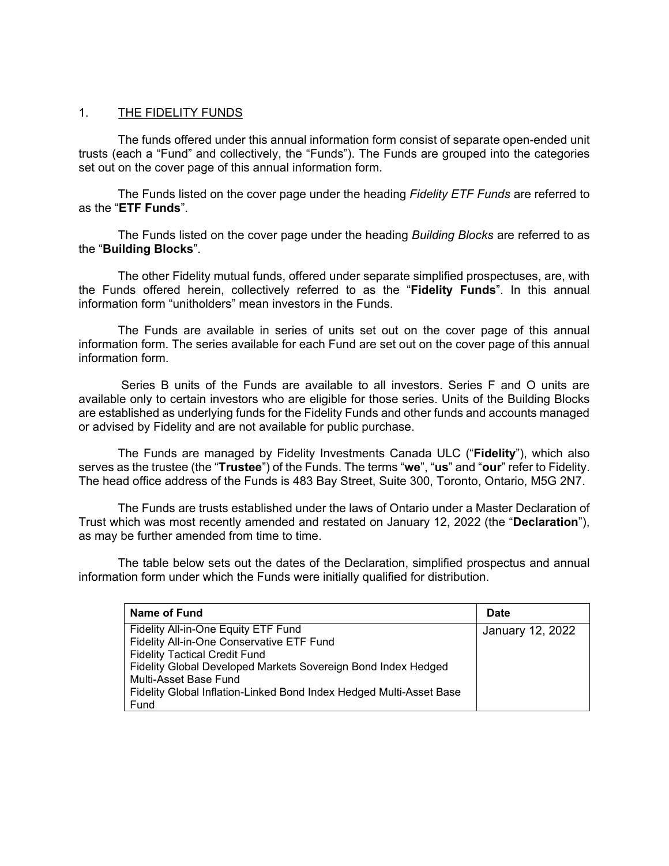## <span id="page-2-0"></span>1. THE FIDELITY FUNDS

The funds offered under this annual information form consist of separate open-ended unit trusts (each a "Fund" and collectively, the "Funds"). The Funds are grouped into the categories set out on the cover page of this annual information form.

The Funds listed on the cover page under the heading *Fidelity ETF Funds* are referred to as the "**ETF Funds**".

The Funds listed on the cover page under the heading *Building Blocks* are referred to as the "**Building Blocks**".

The other Fidelity mutual funds, offered under separate simplified prospectuses, are, with the Funds offered herein, collectively referred to as the "**Fidelity Funds**". In this annual information form "unitholders" mean investors in the Funds.

The Funds are available in series of units set out on the cover page of this annual information form. The series available for each Fund are set out on the cover page of this annual information form.

Series B units of the Funds are available to all investors. Series F and O units are available only to certain investors who are eligible for those series. Units of the Building Blocks are established as underlying funds for the Fidelity Funds and other funds and accounts managed or advised by Fidelity and are not available for public purchase.

The Funds are managed by Fidelity Investments Canada ULC ("**Fidelity**"), which also serves as the trustee (the "**Trustee**") of the Funds. The terms "**we**", "**us**" and "**our**" refer to Fidelity. The head office address of the Funds is 483 Bay Street, Suite 300, Toronto, Ontario, M5G 2N7.

The Funds are trusts established under the laws of Ontario under a Master Declaration of Trust which was most recently amended and restated on January 12, 2022 (the "**Declaration**"), as may be further amended from time to time.

The table below sets out the dates of the Declaration, simplified prospectus and annual information form under which the Funds were initially qualified for distribution.

| Name of Fund                                                                           | <b>Date</b>      |
|----------------------------------------------------------------------------------------|------------------|
| Fidelity All-in-One Equity ETF Fund<br>Fidelity All-in-One Conservative ETF Fund       | January 12, 2022 |
| <b>Fidelity Tactical Credit Fund</b>                                                   |                  |
| Fidelity Global Developed Markets Sovereign Bond Index Hedged<br>Multi-Asset Base Fund |                  |
| Fidelity Global Inflation-Linked Bond Index Hedged Multi-Asset Base                    |                  |
| Fund                                                                                   |                  |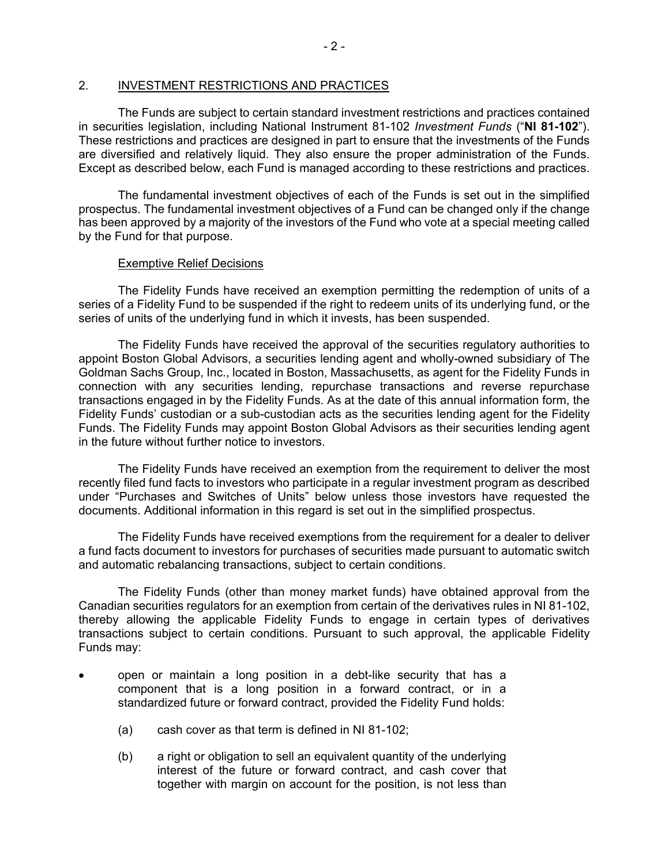# <span id="page-3-0"></span>2. INVESTMENT RESTRICTIONS AND PRACTICES

The Funds are subject to certain standard investment restrictions and practices contained in securities legislation, including National Instrument 81-102 *Investment Funds* ("**NI 81-102**"). These restrictions and practices are designed in part to ensure that the investments of the Funds are diversified and relatively liquid. They also ensure the proper administration of the Funds. Except as described below, each Fund is managed according to these restrictions and practices.

The fundamental investment objectives of each of the Funds is set out in the simplified prospectus. The fundamental investment objectives of a Fund can be changed only if the change has been approved by a majority of the investors of the Fund who vote at a special meeting called by the Fund for that purpose.

## Exemptive Relief Decisions

The Fidelity Funds have received an exemption permitting the redemption of units of a series of a Fidelity Fund to be suspended if the right to redeem units of its underlying fund, or the series of units of the underlying fund in which it invests, has been suspended.

The Fidelity Funds have received the approval of the securities regulatory authorities to appoint Boston Global Advisors, a securities lending agent and wholly-owned subsidiary of The Goldman Sachs Group, Inc., located in Boston, Massachusetts, as agent for the Fidelity Funds in connection with any securities lending, repurchase transactions and reverse repurchase transactions engaged in by the Fidelity Funds. As at the date of this annual information form, the Fidelity Funds' custodian or a sub-custodian acts as the securities lending agent for the Fidelity Funds. The Fidelity Funds may appoint Boston Global Advisors as their securities lending agent in the future without further notice to investors.

The Fidelity Funds have received an exemption from the requirement to deliver the most recently filed fund facts to investors who participate in a regular investment program as described under "Purchases and Switches of Units" below unless those investors have requested the documents. Additional information in this regard is set out in the simplified prospectus.

The Fidelity Funds have received exemptions from the requirement for a dealer to deliver a fund facts document to investors for purchases of securities made pursuant to automatic switch and automatic rebalancing transactions, subject to certain conditions.

The Fidelity Funds (other than money market funds) have obtained approval from the Canadian securities regulators for an exemption from certain of the derivatives rules in NI 81-102, thereby allowing the applicable Fidelity Funds to engage in certain types of derivatives transactions subject to certain conditions. Pursuant to such approval, the applicable Fidelity Funds may:

- open or maintain a long position in a debt-like security that has a component that is a long position in a forward contract, or in a standardized future or forward contract, provided the Fidelity Fund holds:
	- (a) cash cover as that term is defined in NI 81-102;
	- (b) a right or obligation to sell an equivalent quantity of the underlying interest of the future or forward contract, and cash cover that together with margin on account for the position, is not less than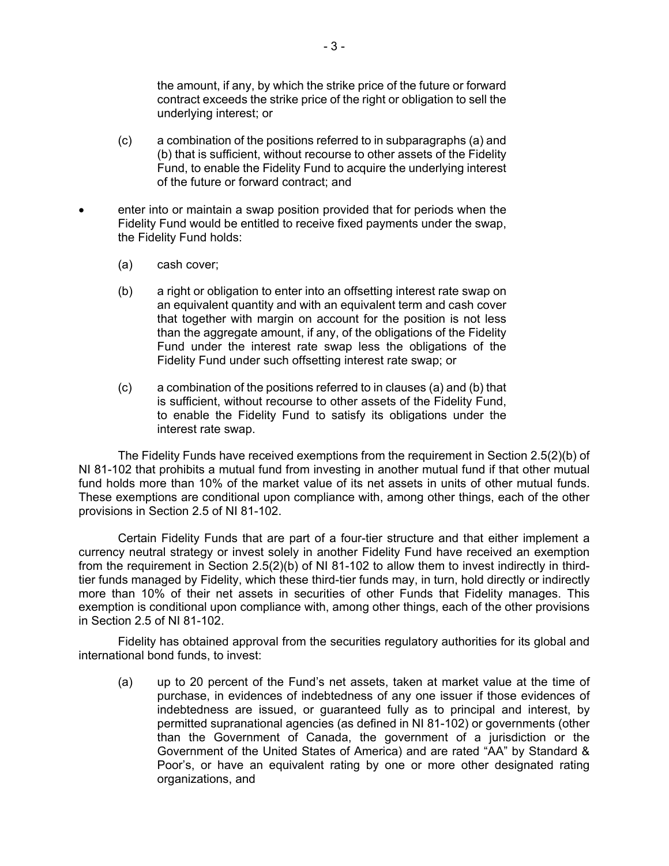the amount, if any, by which the strike price of the future or forward contract exceeds the strike price of the right or obligation to sell the underlying interest; or

- (c) a combination of the positions referred to in subparagraphs (a) and (b) that is sufficient, without recourse to other assets of the Fidelity Fund, to enable the Fidelity Fund to acquire the underlying interest of the future or forward contract; and
- enter into or maintain a swap position provided that for periods when the Fidelity Fund would be entitled to receive fixed payments under the swap, the Fidelity Fund holds:
	- (a) cash cover;
	- (b) a right or obligation to enter into an offsetting interest rate swap on an equivalent quantity and with an equivalent term and cash cover that together with margin on account for the position is not less than the aggregate amount, if any, of the obligations of the Fidelity Fund under the interest rate swap less the obligations of the Fidelity Fund under such offsetting interest rate swap; or
	- (c) a combination of the positions referred to in clauses (a) and (b) that is sufficient, without recourse to other assets of the Fidelity Fund, to enable the Fidelity Fund to satisfy its obligations under the interest rate swap.

The Fidelity Funds have received exemptions from the requirement in Section 2.5(2)(b) of NI 81-102 that prohibits a mutual fund from investing in another mutual fund if that other mutual fund holds more than 10% of the market value of its net assets in units of other mutual funds. These exemptions are conditional upon compliance with, among other things, each of the other provisions in Section 2.5 of NI 81-102.

Certain Fidelity Funds that are part of a four-tier structure and that either implement a currency neutral strategy or invest solely in another Fidelity Fund have received an exemption from the requirement in Section 2.5(2)(b) of NI 81-102 to allow them to invest indirectly in thirdtier funds managed by Fidelity, which these third-tier funds may, in turn, hold directly or indirectly more than 10% of their net assets in securities of other Funds that Fidelity manages. This exemption is conditional upon compliance with, among other things, each of the other provisions in Section 2.5 of NI 81-102.

Fidelity has obtained approval from the securities regulatory authorities for its global and international bond funds, to invest:

(a) up to 20 percent of the Fund's net assets, taken at market value at the time of purchase, in evidences of indebtedness of any one issuer if those evidences of indebtedness are issued, or guaranteed fully as to principal and interest, by permitted supranational agencies (as defined in NI 81-102) or governments (other than the Government of Canada, the government of a jurisdiction or the Government of the United States of America) and are rated "AA" by Standard & Poor's, or have an equivalent rating by one or more other designated rating organizations, and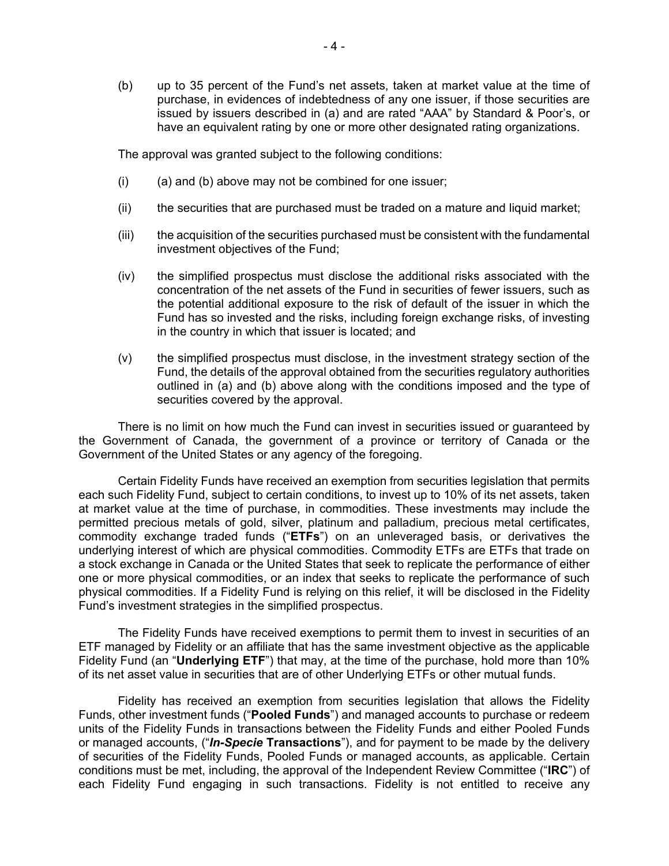(b) up to 35 percent of the Fund's net assets, taken at market value at the time of purchase, in evidences of indebtedness of any one issuer, if those securities are issued by issuers described in (a) and are rated "AAA" by Standard & Poor's, or have an equivalent rating by one or more other designated rating organizations.

The approval was granted subject to the following conditions:

- $(i)$  (a) and (b) above may not be combined for one issuer;
- (ii) the securities that are purchased must be traded on a mature and liquid market;
- (iii) the acquisition of the securities purchased must be consistent with the fundamental investment objectives of the Fund;
- (iv) the simplified prospectus must disclose the additional risks associated with the concentration of the net assets of the Fund in securities of fewer issuers, such as the potential additional exposure to the risk of default of the issuer in which the Fund has so invested and the risks, including foreign exchange risks, of investing in the country in which that issuer is located; and
- (v) the simplified prospectus must disclose, in the investment strategy section of the Fund, the details of the approval obtained from the securities regulatory authorities outlined in (a) and (b) above along with the conditions imposed and the type of securities covered by the approval.

There is no limit on how much the Fund can invest in securities issued or guaranteed by the Government of Canada, the government of a province or territory of Canada or the Government of the United States or any agency of the foregoing.

Certain Fidelity Funds have received an exemption from securities legislation that permits each such Fidelity Fund, subject to certain conditions, to invest up to 10% of its net assets, taken at market value at the time of purchase, in commodities. These investments may include the permitted precious metals of gold, silver, platinum and palladium, precious metal certificates, commodity exchange traded funds ("**ETFs**") on an unleveraged basis, or derivatives the underlying interest of which are physical commodities. Commodity ETFs are ETFs that trade on a stock exchange in Canada or the United States that seek to replicate the performance of either one or more physical commodities, or an index that seeks to replicate the performance of such physical commodities. If a Fidelity Fund is relying on this relief, it will be disclosed in the Fidelity Fund's investment strategies in the simplified prospectus.

The Fidelity Funds have received exemptions to permit them to invest in securities of an ETF managed by Fidelity or an affiliate that has the same investment objective as the applicable Fidelity Fund (an "**Underlying ETF**") that may, at the time of the purchase, hold more than 10% of its net asset value in securities that are of other Underlying ETFs or other mutual funds.

Fidelity has received an exemption from securities legislation that allows the Fidelity Funds, other investment funds ("**Pooled Funds**") and managed accounts to purchase or redeem units of the Fidelity Funds in transactions between the Fidelity Funds and either Pooled Funds or managed accounts, ("*In-Specie* **Transactions**"), and for payment to be made by the delivery of securities of the Fidelity Funds, Pooled Funds or managed accounts, as applicable. Certain conditions must be met, including, the approval of the Independent Review Committee ("**IRC**") of each Fidelity Fund engaging in such transactions. Fidelity is not entitled to receive any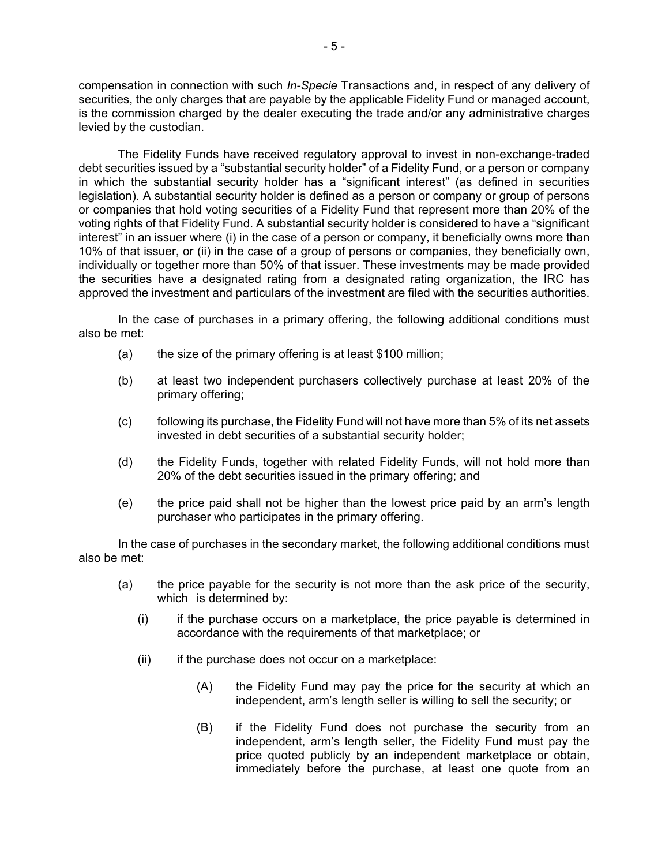compensation in connection with such *In-Specie* Transactions and, in respect of any delivery of securities, the only charges that are payable by the applicable Fidelity Fund or managed account, is the commission charged by the dealer executing the trade and/or any administrative charges levied by the custodian.

The Fidelity Funds have received regulatory approval to invest in non-exchange-traded debt securities issued by a "substantial security holder" of a Fidelity Fund, or a person or company in which the substantial security holder has a "significant interest" (as defined in securities legislation). A substantial security holder is defined as a person or company or group of persons or companies that hold voting securities of a Fidelity Fund that represent more than 20% of the voting rights of that Fidelity Fund. A substantial security holder is considered to have a "significant interest" in an issuer where (i) in the case of a person or company, it beneficially owns more than 10% of that issuer, or (ii) in the case of a group of persons or companies, they beneficially own, individually or together more than 50% of that issuer. These investments may be made provided the securities have a designated rating from a designated rating organization, the IRC has approved the investment and particulars of the investment are filed with the securities authorities.

In the case of purchases in a primary offering, the following additional conditions must also be met:

- (a) the size of the primary offering is at least  $$100$  million;
- (b) at least two independent purchasers collectively purchase at least 20% of the primary offering;
- (c) following its purchase, the Fidelity Fund will not have more than 5% of its net assets invested in debt securities of a substantial security holder;
- (d) the Fidelity Funds, together with related Fidelity Funds, will not hold more than 20% of the debt securities issued in the primary offering; and
- (e) the price paid shall not be higher than the lowest price paid by an arm's length purchaser who participates in the primary offering.

In the case of purchases in the secondary market, the following additional conditions must also be met:

- (a) the price payable for the security is not more than the ask price of the security, which is determined by:
	- (i) if the purchase occurs on a marketplace, the price payable is determined in accordance with the requirements of that marketplace; or
	- $(ii)$  if the purchase does not occur on a marketplace:
		- (A) the Fidelity Fund may pay the price for the security at which an independent, arm's length seller is willing to sell the security; or
		- (B) if the Fidelity Fund does not purchase the security from an independent, arm's length seller, the Fidelity Fund must pay the price quoted publicly by an independent marketplace or obtain, immediately before the purchase, at least one quote from an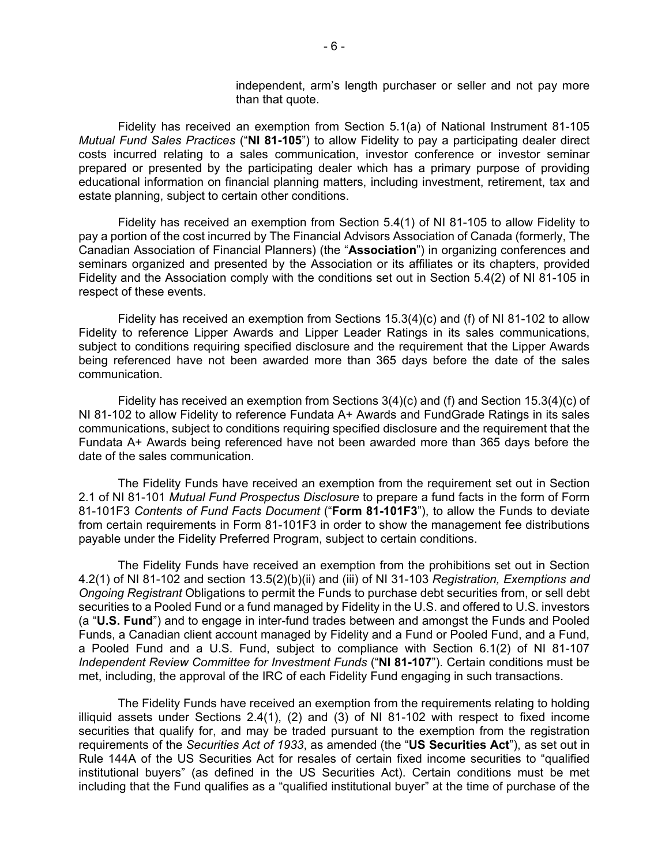independent, arm's length purchaser or seller and not pay more than that quote.

Fidelity has received an exemption from Section 5.1(a) of National Instrument 81-105 *Mutual Fund Sales Practices* ("**NI 81-105**") to allow Fidelity to pay a participating dealer direct costs incurred relating to a sales communication, investor conference or investor seminar prepared or presented by the participating dealer which has a primary purpose of providing educational information on financial planning matters, including investment, retirement, tax and estate planning, subject to certain other conditions.

Fidelity has received an exemption from Section 5.4(1) of NI 81-105 to allow Fidelity to pay a portion of the cost incurred by The Financial Advisors Association of Canada (formerly, The Canadian Association of Financial Planners) (the "**Association**") in organizing conferences and seminars organized and presented by the Association or its affiliates or its chapters, provided Fidelity and the Association comply with the conditions set out in Section 5.4(2) of NI 81-105 in respect of these events.

Fidelity has received an exemption from Sections 15.3(4)(c) and (f) of NI 81-102 to allow Fidelity to reference Lipper Awards and Lipper Leader Ratings in its sales communications, subject to conditions requiring specified disclosure and the requirement that the Lipper Awards being referenced have not been awarded more than 365 days before the date of the sales communication.

Fidelity has received an exemption from Sections  $3(4)(c)$  and (f) and Section 15.3(4)(c) of NI 81-102 to allow Fidelity to reference Fundata A+ Awards and FundGrade Ratings in its sales communications, subject to conditions requiring specified disclosure and the requirement that the Fundata A+ Awards being referenced have not been awarded more than 365 days before the date of the sales communication.

The Fidelity Funds have received an exemption from the requirement set out in Section 2.1 of NI 81-101 *Mutual Fund Prospectus Disclosure* to prepare a fund facts in the form of Form 81-101F3 *Contents of Fund Facts Document* ("**Form 81-101F3**"), to allow the Funds to deviate from certain requirements in Form 81-101F3 in order to show the management fee distributions payable under the Fidelity Preferred Program, subject to certain conditions.

The Fidelity Funds have received an exemption from the prohibitions set out in Section 4.2(1) of NI 81-102 and section 13.5(2)(b)(ii) and (iii) of NI 31-103 *Registration, Exemptions and Ongoing Registrant* Obligations to permit the Funds to purchase debt securities from, or sell debt securities to a Pooled Fund or a fund managed by Fidelity in the U.S. and offered to U.S. investors (a "**U.S. Fund**") and to engage in inter-fund trades between and amongst the Funds and Pooled Funds, a Canadian client account managed by Fidelity and a Fund or Pooled Fund, and a Fund, a Pooled Fund and a U.S. Fund, subject to compliance with Section 6.1(2) of NI 81-107 *Independent Review Committee for Investment Funds* ("**NI 81-107**"). Certain conditions must be met, including, the approval of the IRC of each Fidelity Fund engaging in such transactions.

The Fidelity Funds have received an exemption from the requirements relating to holding illiquid assets under Sections 2.4(1), (2) and (3) of NI 81-102 with respect to fixed income securities that qualify for, and may be traded pursuant to the exemption from the registration requirements of the *Securities Act of 1933*, as amended (the "**US Securities Act**"), as set out in Rule 144A of the US Securities Act for resales of certain fixed income securities to "qualified institutional buyers" (as defined in the US Securities Act). Certain conditions must be met including that the Fund qualifies as a "qualified institutional buyer" at the time of purchase of the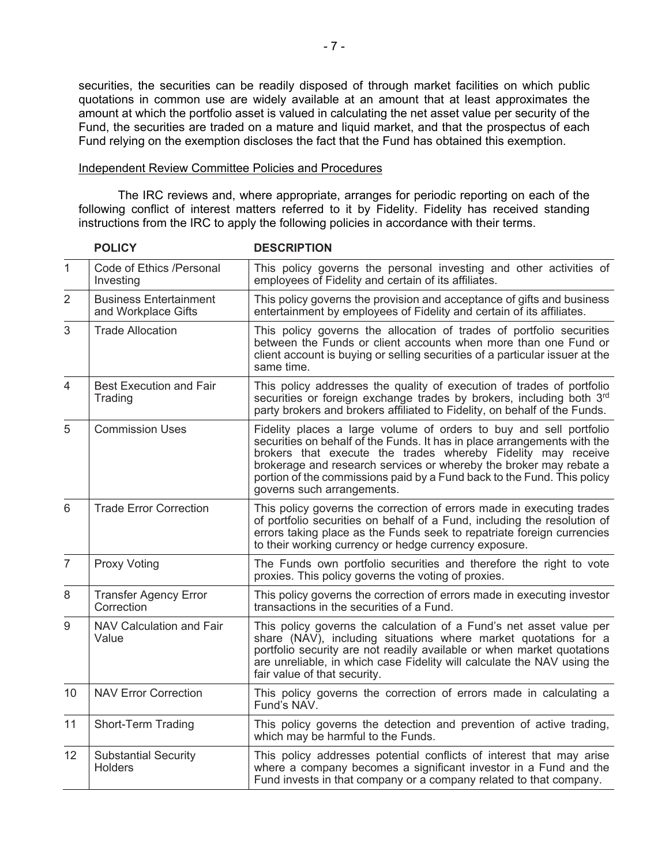securities, the securities can be readily disposed of through market facilities on which public quotations in common use are widely available at an amount that at least approximates the amount at which the portfolio asset is valued in calculating the net asset value per security of the Fund, the securities are traded on a mature and liquid market, and that the prospectus of each Fund relying on the exemption discloses the fact that the Fund has obtained this exemption.

#### Independent Review Committee Policies and Procedures

The IRC reviews and, where appropriate, arranges for periodic reporting on each of the following conflict of interest matters referred to it by Fidelity. Fidelity has received standing instructions from the IRC to apply the following policies in accordance with their terms.

|                | <b>POLICY</b>                                        | <b>DESCRIPTION</b>                                                                                                                                                                                                                                                                                                                                                                            |
|----------------|------------------------------------------------------|-----------------------------------------------------------------------------------------------------------------------------------------------------------------------------------------------------------------------------------------------------------------------------------------------------------------------------------------------------------------------------------------------|
| 1              | Code of Ethics /Personal<br>Investing                | This policy governs the personal investing and other activities of<br>employees of Fidelity and certain of its affiliates.                                                                                                                                                                                                                                                                    |
| $\overline{2}$ | <b>Business Entertainment</b><br>and Workplace Gifts | This policy governs the provision and acceptance of gifts and business<br>entertainment by employees of Fidelity and certain of its affiliates.                                                                                                                                                                                                                                               |
| 3              | <b>Trade Allocation</b>                              | This policy governs the allocation of trades of portfolio securities<br>between the Funds or client accounts when more than one Fund or<br>client account is buying or selling securities of a particular issuer at the<br>same time.                                                                                                                                                         |
| $\overline{4}$ | <b>Best Execution and Fair</b><br>Trading            | This policy addresses the quality of execution of trades of portfolio<br>securities or foreign exchange trades by brokers, including both 3rd<br>party brokers and brokers affiliated to Fidelity, on behalf of the Funds.                                                                                                                                                                    |
| 5              | <b>Commission Uses</b>                               | Fidelity places a large volume of orders to buy and sell portfolio<br>securities on behalf of the Funds. It has in place arrangements with the<br>brokers that execute the trades whereby Fidelity may receive<br>brokerage and research services or whereby the broker may rebate a<br>portion of the commissions paid by a Fund back to the Fund. This policy<br>governs such arrangements. |
| 6              | <b>Trade Error Correction</b>                        | This policy governs the correction of errors made in executing trades<br>of portfolio securities on behalf of a Fund, including the resolution of<br>errors taking place as the Funds seek to repatriate foreign currencies<br>to their working currency or hedge currency exposure.                                                                                                          |
| $\overline{7}$ | <b>Proxy Voting</b>                                  | The Funds own portfolio securities and therefore the right to vote<br>proxies. This policy governs the voting of proxies.                                                                                                                                                                                                                                                                     |
| 8              | <b>Transfer Agency Error</b><br>Correction           | This policy governs the correction of errors made in executing investor<br>transactions in the securities of a Fund.                                                                                                                                                                                                                                                                          |
| 9              | NAV Calculation and Fair<br>Value                    | This policy governs the calculation of a Fund's net asset value per<br>share (NAV), including situations where market quotations for a<br>portfolio security are not readily available or when market quotations<br>are unreliable, in which case Fidelity will calculate the NAV using the<br>fair value of that security.                                                                   |
| 10             | <b>NAV Error Correction</b>                          | This policy governs the correction of errors made in calculating a<br>Fund's NAV.                                                                                                                                                                                                                                                                                                             |
| 11             | Short-Term Trading                                   | This policy governs the detection and prevention of active trading,<br>which may be harmful to the Funds.                                                                                                                                                                                                                                                                                     |
| 12             | <b>Substantial Security</b><br><b>Holders</b>        | This policy addresses potential conflicts of interest that may arise<br>where a company becomes a significant investor in a Fund and the<br>Fund invests in that company or a company related to that company.                                                                                                                                                                                |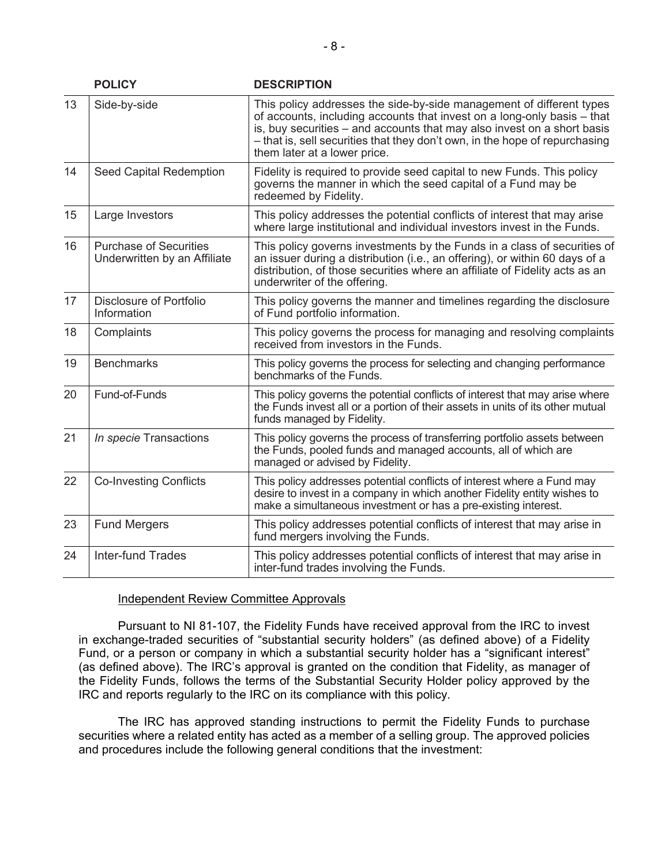|    | <b>POLICY</b>                                                 | <b>DESCRIPTION</b>                                                                                                                                                                                                                                                                                                                        |
|----|---------------------------------------------------------------|-------------------------------------------------------------------------------------------------------------------------------------------------------------------------------------------------------------------------------------------------------------------------------------------------------------------------------------------|
| 13 | Side-by-side                                                  | This policy addresses the side-by-side management of different types<br>of accounts, including accounts that invest on a long-only basis - that<br>is, buy securities - and accounts that may also invest on a short basis<br>- that is, sell securities that they don't own, in the hope of repurchasing<br>them later at a lower price. |
| 14 | Seed Capital Redemption                                       | Fidelity is required to provide seed capital to new Funds. This policy<br>governs the manner in which the seed capital of a Fund may be<br>redeemed by Fidelity.                                                                                                                                                                          |
| 15 | Large Investors                                               | This policy addresses the potential conflicts of interest that may arise<br>where large institutional and individual investors invest in the Funds.                                                                                                                                                                                       |
| 16 | <b>Purchase of Securities</b><br>Underwritten by an Affiliate | This policy governs investments by the Funds in a class of securities of<br>an issuer during a distribution (i.e., an offering), or within 60 days of a<br>distribution, of those securities where an affiliate of Fidelity acts as an<br>underwriter of the offering.                                                                    |
| 17 | Disclosure of Portfolio<br>Information                        | This policy governs the manner and timelines regarding the disclosure<br>of Fund portfolio information.                                                                                                                                                                                                                                   |
| 18 | Complaints                                                    | This policy governs the process for managing and resolving complaints<br>received from investors in the Funds.                                                                                                                                                                                                                            |
| 19 | <b>Benchmarks</b>                                             | This policy governs the process for selecting and changing performance<br>benchmarks of the Funds.                                                                                                                                                                                                                                        |
| 20 | Fund-of-Funds                                                 | This policy governs the potential conflicts of interest that may arise where<br>the Funds invest all or a portion of their assets in units of its other mutual<br>funds managed by Fidelity.                                                                                                                                              |
| 21 | In specie Transactions                                        | This policy governs the process of transferring portfolio assets between<br>the Funds, pooled funds and managed accounts, all of which are<br>managed or advised by Fidelity.                                                                                                                                                             |
| 22 | <b>Co-Investing Conflicts</b>                                 | This policy addresses potential conflicts of interest where a Fund may<br>desire to invest in a company in which another Fidelity entity wishes to<br>make a simultaneous investment or has a pre-existing interest.                                                                                                                      |
| 23 | <b>Fund Mergers</b>                                           | This policy addresses potential conflicts of interest that may arise in<br>fund mergers involving the Funds.                                                                                                                                                                                                                              |
| 24 | <b>Inter-fund Trades</b>                                      | This policy addresses potential conflicts of interest that may arise in<br>inter-fund trades involving the Funds.                                                                                                                                                                                                                         |

#### Independent Review Committee Approvals

Pursuant to NI 81-107, the Fidelity Funds have received approval from the IRC to invest in exchange-traded securities of "substantial security holders" (as defined above) of a Fidelity Fund, or a person or company in which a substantial security holder has a "significant interest" (as defined above). The IRC's approval is granted on the condition that Fidelity, as manager of the Fidelity Funds, follows the terms of the Substantial Security Holder policy approved by the IRC and reports regularly to the IRC on its compliance with this policy.

The IRC has approved standing instructions to permit the Fidelity Funds to purchase securities where a related entity has acted as a member of a selling group. The approved policies and procedures include the following general conditions that the investment: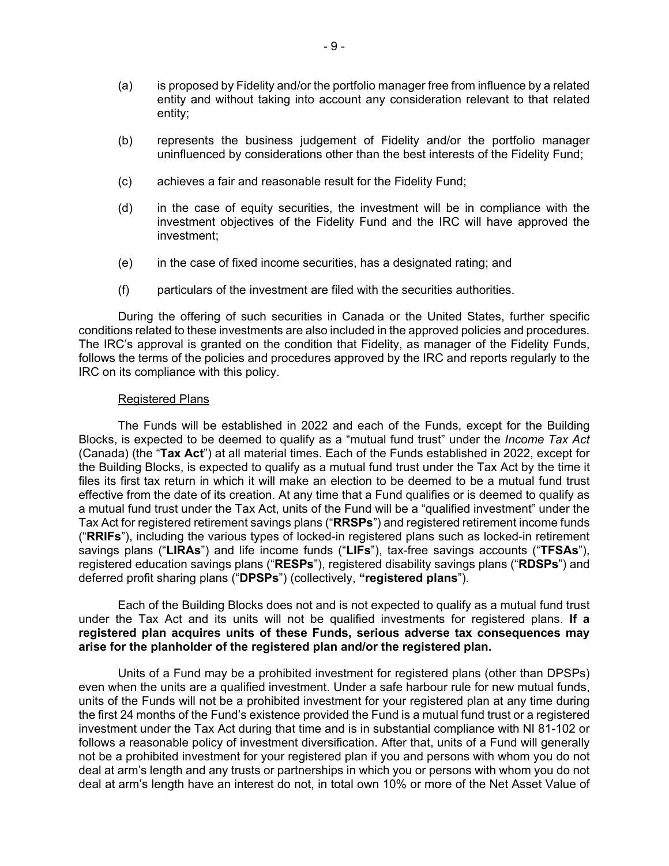- (a) is proposed by Fidelity and/or the portfolio manager free from influence by a related entity and without taking into account any consideration relevant to that related entity;
- (b) represents the business judgement of Fidelity and/or the portfolio manager uninfluenced by considerations other than the best interests of the Fidelity Fund;
- (c) achieves a fair and reasonable result for the Fidelity Fund;
- (d) in the case of equity securities, the investment will be in compliance with the investment objectives of the Fidelity Fund and the IRC will have approved the investment;
- (e) in the case of fixed income securities, has a designated rating; and
- (f) particulars of the investment are filed with the securities authorities.

During the offering of such securities in Canada or the United States, further specific conditions related to these investments are also included in the approved policies and procedures. The IRC's approval is granted on the condition that Fidelity, as manager of the Fidelity Funds, follows the terms of the policies and procedures approved by the IRC and reports regularly to the IRC on its compliance with this policy.

#### Registered Plans

The Funds will be established in 2022 and each of the Funds, except for the Building Blocks, is expected to be deemed to qualify as a "mutual fund trust" under the *Income Tax Act* (Canada) (the "**Tax Act**") at all material times. Each of the Funds established in 2022, except for the Building Blocks, is expected to qualify as a mutual fund trust under the Tax Act by the time it files its first tax return in which it will make an election to be deemed to be a mutual fund trust effective from the date of its creation. At any time that a Fund qualifies or is deemed to qualify as a mutual fund trust under the Tax Act, units of the Fund will be a "qualified investment" under the Tax Act for registered retirement savings plans ("**RRSPs**") and registered retirement income funds ("**RRIFs**"), including the various types of locked-in registered plans such as locked-in retirement savings plans ("**LIRAs**") and life income funds ("**LIFs**"), tax-free savings accounts ("**TFSAs**"), registered education savings plans ("**RESPs**"), registered disability savings plans ("**RDSPs**") and deferred profit sharing plans ("**DPSPs**") (collectively, **"registered plans**").

Each of the Building Blocks does not and is not expected to qualify as a mutual fund trust under the Tax Act and its units will not be qualified investments for registered plans. **If a registered plan acquires units of these Funds, serious adverse tax consequences may arise for the planholder of the registered plan and/or the registered plan.**

Units of a Fund may be a prohibited investment for registered plans (other than DPSPs) even when the units are a qualified investment. Under a safe harbour rule for new mutual funds, units of the Funds will not be a prohibited investment for your registered plan at any time during the first 24 months of the Fund's existence provided the Fund is a mutual fund trust or a registered investment under the Tax Act during that time and is in substantial compliance with NI 81-102 or follows a reasonable policy of investment diversification. After that, units of a Fund will generally not be a prohibited investment for your registered plan if you and persons with whom you do not deal at arm's length and any trusts or partnerships in which you or persons with whom you do not deal at arm's length have an interest do not, in total own 10% or more of the Net Asset Value of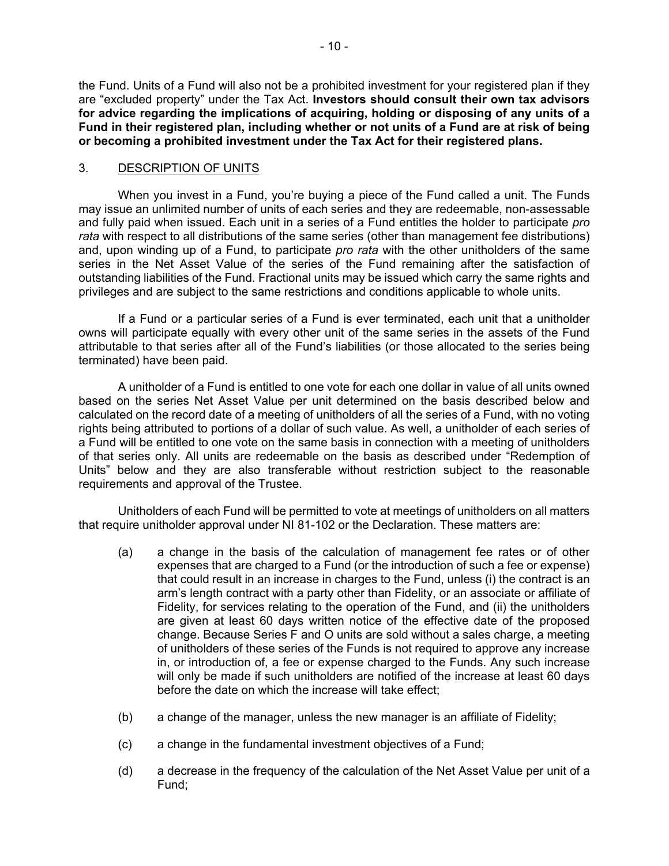the Fund. Units of a Fund will also not be a prohibited investment for your registered plan if they are "excluded property" under the Tax Act. **Investors should consult their own tax advisors for advice regarding the implications of acquiring, holding or disposing of any units of a Fund in their registered plan, including whether or not units of a Fund are at risk of being or becoming a prohibited investment under the Tax Act for their registered plans.**

## <span id="page-11-0"></span>3. DESCRIPTION OF UNITS

When you invest in a Fund, you're buying a piece of the Fund called a unit. The Funds may issue an unlimited number of units of each series and they are redeemable, non-assessable and fully paid when issued. Each unit in a series of a Fund entitles the holder to participate *pro rata* with respect to all distributions of the same series (other than management fee distributions) and, upon winding up of a Fund, to participate *pro rata* with the other unitholders of the same series in the Net Asset Value of the series of the Fund remaining after the satisfaction of outstanding liabilities of the Fund. Fractional units may be issued which carry the same rights and privileges and are subject to the same restrictions and conditions applicable to whole units.

If a Fund or a particular series of a Fund is ever terminated, each unit that a unitholder owns will participate equally with every other unit of the same series in the assets of the Fund attributable to that series after all of the Fund's liabilities (or those allocated to the series being terminated) have been paid.

A unitholder of a Fund is entitled to one vote for each one dollar in value of all units owned based on the series Net Asset Value per unit determined on the basis described below and calculated on the record date of a meeting of unitholders of all the series of a Fund, with no voting rights being attributed to portions of a dollar of such value. As well, a unitholder of each series of a Fund will be entitled to one vote on the same basis in connection with a meeting of unitholders of that series only. All units are redeemable on the basis as described under "Redemption of Units" below and they are also transferable without restriction subject to the reasonable requirements and approval of the Trustee.

Unitholders of each Fund will be permitted to vote at meetings of unitholders on all matters that require unitholder approval under NI 81-102 or the Declaration. These matters are:

- (a) a change in the basis of the calculation of management fee rates or of other expenses that are charged to a Fund (or the introduction of such a fee or expense) that could result in an increase in charges to the Fund, unless (i) the contract is an arm's length contract with a party other than Fidelity, or an associate or affiliate of Fidelity, for services relating to the operation of the Fund, and (ii) the unitholders are given at least 60 days written notice of the effective date of the proposed change. Because Series F and O units are sold without a sales charge, a meeting of unitholders of these series of the Funds is not required to approve any increase in, or introduction of, a fee or expense charged to the Funds. Any such increase will only be made if such unitholders are notified of the increase at least 60 days before the date on which the increase will take effect;
- (b) a change of the manager, unless the new manager is an affiliate of Fidelity;
- (c) a change in the fundamental investment objectives of a Fund;
- (d) a decrease in the frequency of the calculation of the Net Asset Value per unit of a Fund;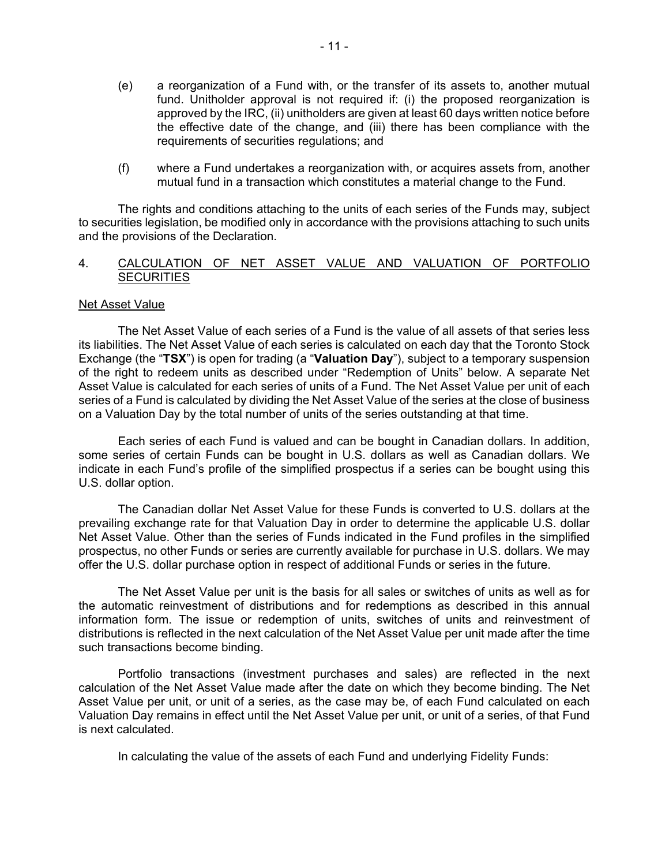- (e) a reorganization of a Fund with, or the transfer of its assets to, another mutual fund. Unitholder approval is not required if: (i) the proposed reorganization is approved by the IRC, (ii) unitholders are given at least 60 days written notice before the effective date of the change, and (iii) there has been compliance with the requirements of securities regulations; and
- (f) where a Fund undertakes a reorganization with, or acquires assets from, another mutual fund in a transaction which constitutes a material change to the Fund.

The rights and conditions attaching to the units of each series of the Funds may, subject to securities legislation, be modified only in accordance with the provisions attaching to such units and the provisions of the Declaration.

## <span id="page-12-0"></span>4. CALCULATION OF NET ASSET VALUE AND VALUATION OF PORTFOLIO **SECURITIES**

#### Net Asset Value

The Net Asset Value of each series of a Fund is the value of all assets of that series less its liabilities. The Net Asset Value of each series is calculated on each day that the Toronto Stock Exchange (the "**TSX**") is open for trading (a "**Valuation Day**"), subject to a temporary suspension of the right to redeem units as described under "Redemption of Units" below. A separate Net Asset Value is calculated for each series of units of a Fund. The Net Asset Value per unit of each series of a Fund is calculated by dividing the Net Asset Value of the series at the close of business on a Valuation Day by the total number of units of the series outstanding at that time.

Each series of each Fund is valued and can be bought in Canadian dollars. In addition, some series of certain Funds can be bought in U.S. dollars as well as Canadian dollars. We indicate in each Fund's profile of the simplified prospectus if a series can be bought using this U.S. dollar option.

The Canadian dollar Net Asset Value for these Funds is converted to U.S. dollars at the prevailing exchange rate for that Valuation Day in order to determine the applicable U.S. dollar Net Asset Value. Other than the series of Funds indicated in the Fund profiles in the simplified prospectus, no other Funds or series are currently available for purchase in U.S. dollars. We may offer the U.S. dollar purchase option in respect of additional Funds or series in the future.

The Net Asset Value per unit is the basis for all sales or switches of units as well as for the automatic reinvestment of distributions and for redemptions as described in this annual information form. The issue or redemption of units, switches of units and reinvestment of distributions is reflected in the next calculation of the Net Asset Value per unit made after the time such transactions become binding.

Portfolio transactions (investment purchases and sales) are reflected in the next calculation of the Net Asset Value made after the date on which they become binding. The Net Asset Value per unit, or unit of a series, as the case may be, of each Fund calculated on each Valuation Day remains in effect until the Net Asset Value per unit, or unit of a series, of that Fund is next calculated.

In calculating the value of the assets of each Fund and underlying Fidelity Funds: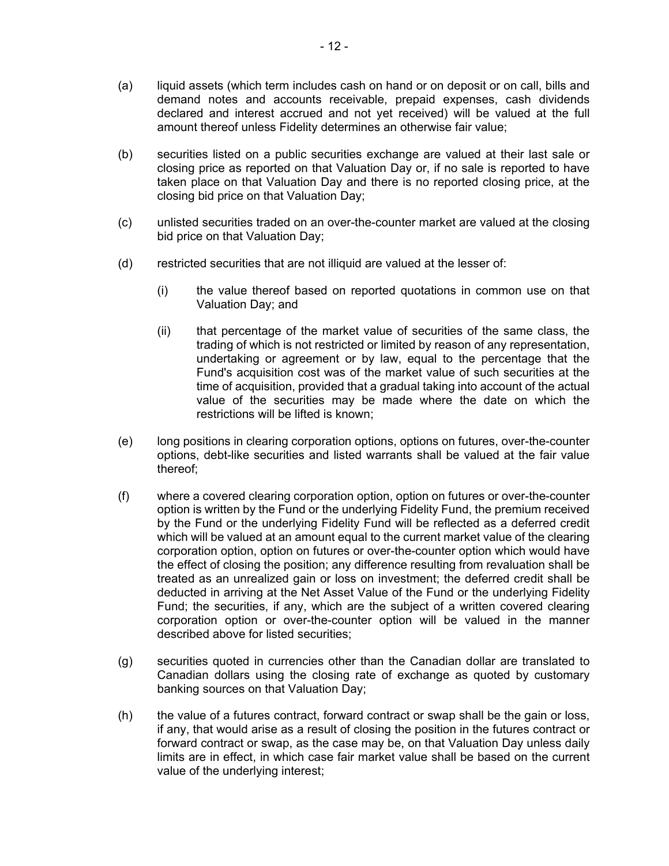- (a) liquid assets (which term includes cash on hand or on deposit or on call, bills and demand notes and accounts receivable, prepaid expenses, cash dividends declared and interest accrued and not yet received) will be valued at the full amount thereof unless Fidelity determines an otherwise fair value;
- (b) securities listed on a public securities exchange are valued at their last sale or closing price as reported on that Valuation Day or, if no sale is reported to have taken place on that Valuation Day and there is no reported closing price, at the closing bid price on that Valuation Day;
- (c) unlisted securities traded on an over-the-counter market are valued at the closing bid price on that Valuation Day;
- (d) restricted securities that are not illiquid are valued at the lesser of:
	- (i) the value thereof based on reported quotations in common use on that Valuation Day; and
	- (ii) that percentage of the market value of securities of the same class, the trading of which is not restricted or limited by reason of any representation, undertaking or agreement or by law, equal to the percentage that the Fund's acquisition cost was of the market value of such securities at the time of acquisition, provided that a gradual taking into account of the actual value of the securities may be made where the date on which the restrictions will be lifted is known;
- (e) long positions in clearing corporation options, options on futures, over-the-counter options, debt-like securities and listed warrants shall be valued at the fair value thereof;
- (f) where a covered clearing corporation option, option on futures or over-the-counter option is written by the Fund or the underlying Fidelity Fund, the premium received by the Fund or the underlying Fidelity Fund will be reflected as a deferred credit which will be valued at an amount equal to the current market value of the clearing corporation option, option on futures or over-the-counter option which would have the effect of closing the position; any difference resulting from revaluation shall be treated as an unrealized gain or loss on investment; the deferred credit shall be deducted in arriving at the Net Asset Value of the Fund or the underlying Fidelity Fund; the securities, if any, which are the subject of a written covered clearing corporation option or over-the-counter option will be valued in the manner described above for listed securities;
- (g) securities quoted in currencies other than the Canadian dollar are translated to Canadian dollars using the closing rate of exchange as quoted by customary banking sources on that Valuation Day;
- (h) the value of a futures contract, forward contract or swap shall be the gain or loss, if any, that would arise as a result of closing the position in the futures contract or forward contract or swap, as the case may be, on that Valuation Day unless daily limits are in effect, in which case fair market value shall be based on the current value of the underlying interest;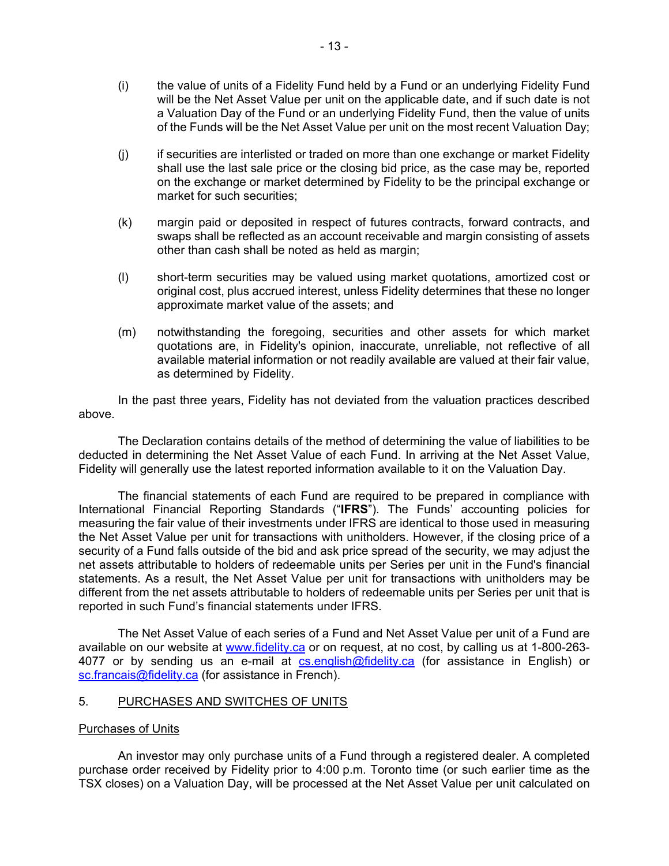- (i) the value of units of a Fidelity Fund held by a Fund or an underlying Fidelity Fund will be the Net Asset Value per unit on the applicable date, and if such date is not a Valuation Day of the Fund or an underlying Fidelity Fund, then the value of units of the Funds will be the Net Asset Value per unit on the most recent Valuation Day;
- (j) if securities are interlisted or traded on more than one exchange or market Fidelity shall use the last sale price or the closing bid price, as the case may be, reported on the exchange or market determined by Fidelity to be the principal exchange or market for such securities;
- (k) margin paid or deposited in respect of futures contracts, forward contracts, and swaps shall be reflected as an account receivable and margin consisting of assets other than cash shall be noted as held as margin;
- (l) short-term securities may be valued using market quotations, amortized cost or original cost, plus accrued interest, unless Fidelity determines that these no longer approximate market value of the assets; and
- (m) notwithstanding the foregoing, securities and other assets for which market quotations are, in Fidelity's opinion, inaccurate, unreliable, not reflective of all available material information or not readily available are valued at their fair value, as determined by Fidelity.

In the past three years, Fidelity has not deviated from the valuation practices described above.

The Declaration contains details of the method of determining the value of liabilities to be deducted in determining the Net Asset Value of each Fund. In arriving at the Net Asset Value, Fidelity will generally use the latest reported information available to it on the Valuation Day.

The financial statements of each Fund are required to be prepared in compliance with International Financial Reporting Standards ("**IFRS**"). The Funds' accounting policies for measuring the fair value of their investments under IFRS are identical to those used in measuring the Net Asset Value per unit for transactions with unitholders. However, if the closing price of a security of a Fund falls outside of the bid and ask price spread of the security, we may adjust the net assets attributable to holders of redeemable units per Series per unit in the Fund's financial statements. As a result, the Net Asset Value per unit for transactions with unitholders may be different from the net assets attributable to holders of redeemable units per Series per unit that is reported in such Fund's financial statements under IFRS.

The Net Asset Value of each series of a Fund and Net Asset Value per unit of a Fund are available on our website at [www.fidelity.ca](http://www.fidelity.ca/) or on request, at no cost, by calling us at 1-800-263- 4077 or by sending us an e-mail at [cs.english@fidelity.ca](mailto:cs.english@fidelity.ca) (for assistance in English) or [sc.francais@fidelity.ca](mailto:sc.francais@fidelity.ca) (for assistance in French).

## <span id="page-14-0"></span>5. PURCHASES AND SWITCHES OF UNITS

## Purchases of Units

An investor may only purchase units of a Fund through a registered dealer. A completed purchase order received by Fidelity prior to 4:00 p.m. Toronto time (or such earlier time as the TSX closes) on a Valuation Day, will be processed at the Net Asset Value per unit calculated on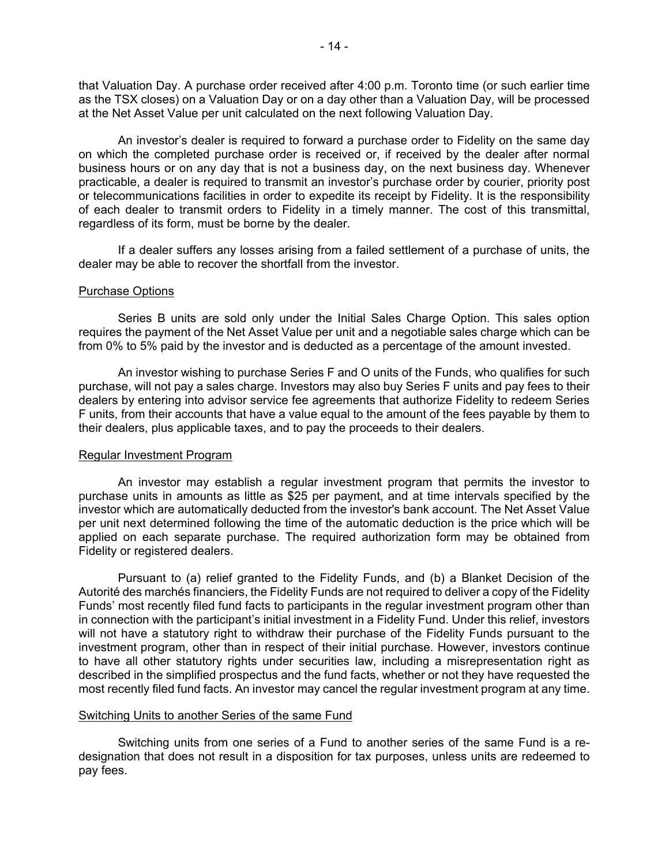that Valuation Day. A purchase order received after 4:00 p.m. Toronto time (or such earlier time as the TSX closes) on a Valuation Day or on a day other than a Valuation Day, will be processed at the Net Asset Value per unit calculated on the next following Valuation Day.

An investor's dealer is required to forward a purchase order to Fidelity on the same day on which the completed purchase order is received or, if received by the dealer after normal business hours or on any day that is not a business day, on the next business day. Whenever practicable, a dealer is required to transmit an investor's purchase order by courier, priority post or telecommunications facilities in order to expedite its receipt by Fidelity. It is the responsibility of each dealer to transmit orders to Fidelity in a timely manner. The cost of this transmittal, regardless of its form, must be borne by the dealer.

If a dealer suffers any losses arising from a failed settlement of a purchase of units, the dealer may be able to recover the shortfall from the investor.

#### Purchase Options

Series B units are sold only under the Initial Sales Charge Option. This sales option requires the payment of the Net Asset Value per unit and a negotiable sales charge which can be from 0% to 5% paid by the investor and is deducted as a percentage of the amount invested.

An investor wishing to purchase Series F and O units of the Funds, who qualifies for such purchase, will not pay a sales charge. Investors may also buy Series F units and pay fees to their dealers by entering into advisor service fee agreements that authorize Fidelity to redeem Series F units, from their accounts that have a value equal to the amount of the fees payable by them to their dealers, plus applicable taxes, and to pay the proceeds to their dealers.

#### Regular Investment Program

An investor may establish a regular investment program that permits the investor to purchase units in amounts as little as \$25 per payment, and at time intervals specified by the investor which are automatically deducted from the investor's bank account. The Net Asset Value per unit next determined following the time of the automatic deduction is the price which will be applied on each separate purchase. The required authorization form may be obtained from Fidelity or registered dealers.

Pursuant to (a) relief granted to the Fidelity Funds, and (b) a Blanket Decision of the Autorité des marchés financiers, the Fidelity Funds are not required to deliver a copy of the Fidelity Funds' most recently filed fund facts to participants in the regular investment program other than in connection with the participant's initial investment in a Fidelity Fund. Under this relief, investors will not have a statutory right to withdraw their purchase of the Fidelity Funds pursuant to the investment program, other than in respect of their initial purchase. However, investors continue to have all other statutory rights under securities law, including a misrepresentation right as described in the simplified prospectus and the fund facts, whether or not they have requested the most recently filed fund facts. An investor may cancel the regular investment program at any time.

#### Switching Units to another Series of the same Fund

Switching units from one series of a Fund to another series of the same Fund is a redesignation that does not result in a disposition for tax purposes, unless units are redeemed to pay fees.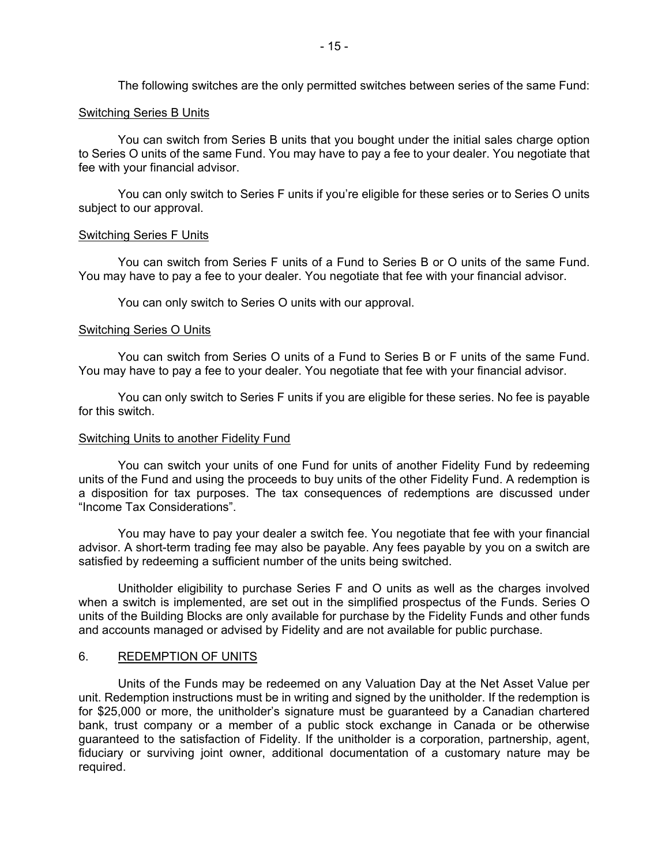The following switches are the only permitted switches between series of the same Fund:

## Switching Series B Units

You can switch from Series B units that you bought under the initial sales charge option to Series O units of the same Fund. You may have to pay a fee to your dealer. You negotiate that fee with your financial advisor.

You can only switch to Series F units if you're eligible for these series or to Series O units subject to our approval.

## Switching Series F Units

You can switch from Series F units of a Fund to Series B or O units of the same Fund. You may have to pay a fee to your dealer. You negotiate that fee with your financial advisor.

You can only switch to Series O units with our approval.

## Switching Series O Units

You can switch from Series O units of a Fund to Series B or F units of the same Fund. You may have to pay a fee to your dealer. You negotiate that fee with your financial advisor.

You can only switch to Series F units if you are eligible for these series. No fee is payable for this switch.

#### Switching Units to another Fidelity Fund

You can switch your units of one Fund for units of another Fidelity Fund by redeeming units of the Fund and using the proceeds to buy units of the other Fidelity Fund. A redemption is a disposition for tax purposes. The tax consequences of redemptions are discussed under "Income Tax Considerations".

You may have to pay your dealer a switch fee. You negotiate that fee with your financial advisor. A short-term trading fee may also be payable. Any fees payable by you on a switch are satisfied by redeeming a sufficient number of the units being switched.

Unitholder eligibility to purchase Series F and O units as well as the charges involved when a switch is implemented, are set out in the simplified prospectus of the Funds. Series O units of the Building Blocks are only available for purchase by the Fidelity Funds and other funds and accounts managed or advised by Fidelity and are not available for public purchase.

## <span id="page-16-0"></span>6. REDEMPTION OF UNITS

Units of the Funds may be redeemed on any Valuation Day at the Net Asset Value per unit. Redemption instructions must be in writing and signed by the unitholder. If the redemption is for \$25,000 or more, the unitholder's signature must be guaranteed by a Canadian chartered bank, trust company or a member of a public stock exchange in Canada or be otherwise guaranteed to the satisfaction of Fidelity. If the unitholder is a corporation, partnership, agent, fiduciary or surviving joint owner, additional documentation of a customary nature may be required.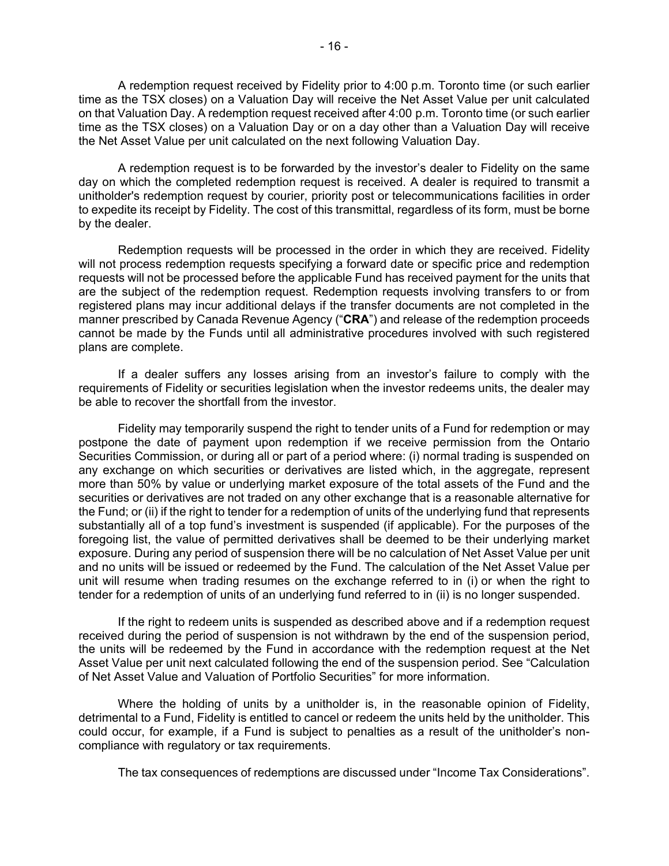A redemption request received by Fidelity prior to 4:00 p.m. Toronto time (or such earlier time as the TSX closes) on a Valuation Day will receive the Net Asset Value per unit calculated on that Valuation Day. A redemption request received after 4:00 p.m. Toronto time (or such earlier time as the TSX closes) on a Valuation Day or on a day other than a Valuation Day will receive the Net Asset Value per unit calculated on the next following Valuation Day.

A redemption request is to be forwarded by the investor's dealer to Fidelity on the same day on which the completed redemption request is received. A dealer is required to transmit a unitholder's redemption request by courier, priority post or telecommunications facilities in order to expedite its receipt by Fidelity. The cost of this transmittal, regardless of its form, must be borne by the dealer.

Redemption requests will be processed in the order in which they are received. Fidelity will not process redemption requests specifying a forward date or specific price and redemption requests will not be processed before the applicable Fund has received payment for the units that are the subject of the redemption request. Redemption requests involving transfers to or from registered plans may incur additional delays if the transfer documents are not completed in the manner prescribed by Canada Revenue Agency ("**CRA**") and release of the redemption proceeds cannot be made by the Funds until all administrative procedures involved with such registered plans are complete.

If a dealer suffers any losses arising from an investor's failure to comply with the requirements of Fidelity or securities legislation when the investor redeems units, the dealer may be able to recover the shortfall from the investor.

Fidelity may temporarily suspend the right to tender units of a Fund for redemption or may postpone the date of payment upon redemption if we receive permission from the Ontario Securities Commission, or during all or part of a period where: (i) normal trading is suspended on any exchange on which securities or derivatives are listed which, in the aggregate, represent more than 50% by value or underlying market exposure of the total assets of the Fund and the securities or derivatives are not traded on any other exchange that is a reasonable alternative for the Fund; or (ii) if the right to tender for a redemption of units of the underlying fund that represents substantially all of a top fund's investment is suspended (if applicable). For the purposes of the foregoing list, the value of permitted derivatives shall be deemed to be their underlying market exposure. During any period of suspension there will be no calculation of Net Asset Value per unit and no units will be issued or redeemed by the Fund. The calculation of the Net Asset Value per unit will resume when trading resumes on the exchange referred to in (i) or when the right to tender for a redemption of units of an underlying fund referred to in (ii) is no longer suspended.

If the right to redeem units is suspended as described above and if a redemption request received during the period of suspension is not withdrawn by the end of the suspension period, the units will be redeemed by the Fund in accordance with the redemption request at the Net Asset Value per unit next calculated following the end of the suspension period. See "Calculation of Net Asset Value and Valuation of Portfolio Securities" for more information.

Where the holding of units by a unitholder is, in the reasonable opinion of Fidelity, detrimental to a Fund, Fidelity is entitled to cancel or redeem the units held by the unitholder. This could occur, for example, if a Fund is subject to penalties as a result of the unitholder's noncompliance with regulatory or tax requirements.

The tax consequences of redemptions are discussed under "Income Tax Considerations".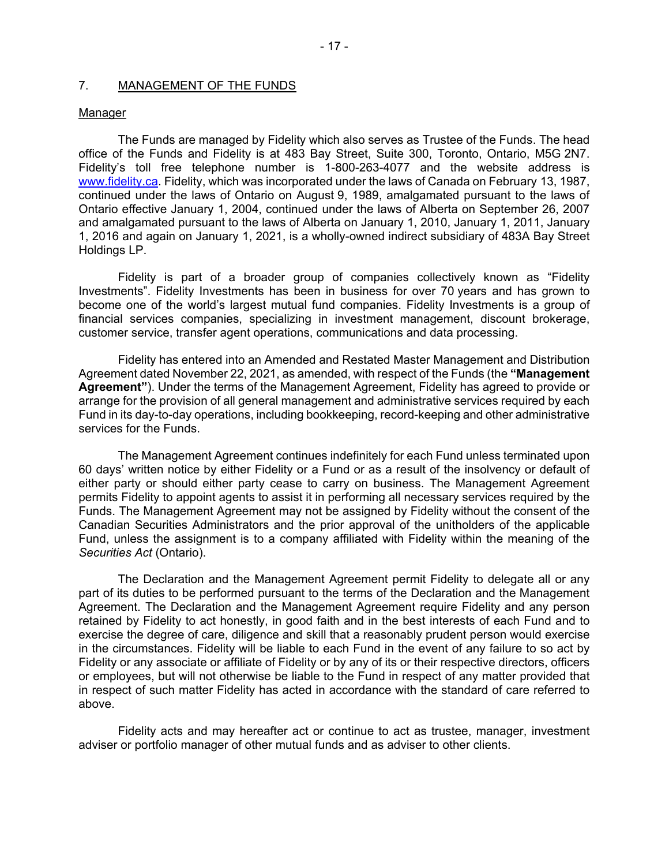# <span id="page-18-0"></span>7. MANAGEMENT OF THE FUNDS

#### Manager

The Funds are managed by Fidelity which also serves as Trustee of the Funds. The head office of the Funds and Fidelity is at 483 Bay Street, Suite 300, Toronto, Ontario, M5G 2N7. Fidelity's toll free telephone number is 1-800-263-4077 and the website address is www.fidelity.ca. Fidelity, which was incorporated under the laws of Canada on February 13, 1987, continued under the laws of Ontario on August 9, 1989, amalgamated pursuant to the laws of Ontario effective January 1, 2004, continued under the laws of Alberta on September 26, 2007 and amalgamated pursuant to the laws of Alberta on January 1, 2010, January 1, 2011, January 1, 2016 and again on January 1, 2021, is a wholly-owned indirect subsidiary of 483A Bay Street Holdings LP.

Fidelity is part of a broader group of companies collectively known as "Fidelity Investments". Fidelity Investments has been in business for over 70 years and has grown to become one of the world's largest mutual fund companies. Fidelity Investments is a group of financial services companies, specializing in investment management, discount brokerage, customer service, transfer agent operations, communications and data processing.

Fidelity has entered into an Amended and Restated Master Management and Distribution Agreement dated November 22, 2021, as amended, with respect of the Funds (the **"Management Agreement"**). Under the terms of the Management Agreement, Fidelity has agreed to provide or arrange for the provision of all general management and administrative services required by each Fund in its day-to-day operations, including bookkeeping, record-keeping and other administrative services for the Funds.

The Management Agreement continues indefinitely for each Fund unless terminated upon 60 days' written notice by either Fidelity or a Fund or as a result of the insolvency or default of either party or should either party cease to carry on business. The Management Agreement permits Fidelity to appoint agents to assist it in performing all necessary services required by the Funds. The Management Agreement may not be assigned by Fidelity without the consent of the Canadian Securities Administrators and the prior approval of the unitholders of the applicable Fund, unless the assignment is to a company affiliated with Fidelity within the meaning of the *Securities Act* (Ontario).

The Declaration and the Management Agreement permit Fidelity to delegate all or any part of its duties to be performed pursuant to the terms of the Declaration and the Management Agreement. The Declaration and the Management Agreement require Fidelity and any person retained by Fidelity to act honestly, in good faith and in the best interests of each Fund and to exercise the degree of care, diligence and skill that a reasonably prudent person would exercise in the circumstances. Fidelity will be liable to each Fund in the event of any failure to so act by Fidelity or any associate or affiliate of Fidelity or by any of its or their respective directors, officers or employees, but will not otherwise be liable to the Fund in respect of any matter provided that in respect of such matter Fidelity has acted in accordance with the standard of care referred to above.

Fidelity acts and may hereafter act or continue to act as trustee, manager, investment adviser or portfolio manager of other mutual funds and as adviser to other clients.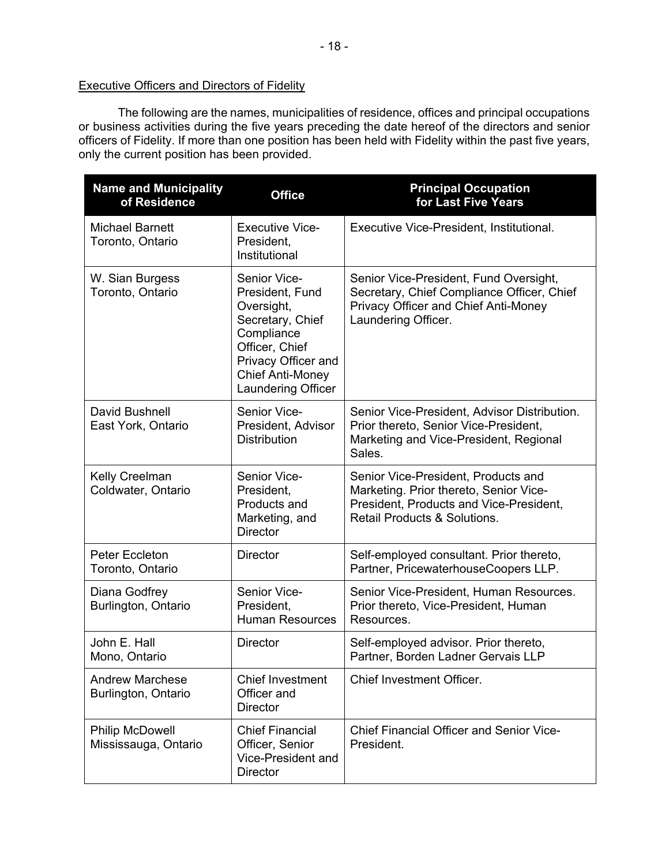# Executive Officers and Directors of Fidelity

The following are the names, municipalities of residence, offices and principal occupations or business activities during the five years preceding the date hereof of the directors and senior officers of Fidelity. If more than one position has been held with Fidelity within the past five years, only the current position has been provided.

| <b>Name and Municipality</b><br>of Residence   | <b>Office</b>                                                                                                                                                             | <b>Principal Occupation</b><br>for Last Five Years                                                                                                                  |  |
|------------------------------------------------|---------------------------------------------------------------------------------------------------------------------------------------------------------------------------|---------------------------------------------------------------------------------------------------------------------------------------------------------------------|--|
| <b>Michael Barnett</b><br>Toronto, Ontario     | <b>Executive Vice-</b><br>President,<br>Institutional                                                                                                                     | Executive Vice-President, Institutional.                                                                                                                            |  |
| W. Sian Burgess<br>Toronto, Ontario            | Senior Vice-<br>President, Fund<br>Oversight,<br>Secretary, Chief<br>Compliance<br>Officer, Chief<br>Privacy Officer and<br><b>Chief Anti-Money</b><br>Laundering Officer | Senior Vice-President, Fund Oversight,<br>Secretary, Chief Compliance Officer, Chief<br>Privacy Officer and Chief Anti-Money<br>Laundering Officer.                 |  |
| David Bushnell<br>East York, Ontario           | Senior Vice-<br>President, Advisor<br><b>Distribution</b>                                                                                                                 | Senior Vice-President, Advisor Distribution.<br>Prior thereto, Senior Vice-President,<br>Marketing and Vice-President, Regional<br>Sales.                           |  |
| Kelly Creelman<br>Coldwater, Ontario           | Senior Vice-<br>President,<br>Products and<br>Marketing, and<br><b>Director</b>                                                                                           | Senior Vice-President, Products and<br>Marketing. Prior thereto, Senior Vice-<br>President, Products and Vice-President,<br><b>Retail Products &amp; Solutions.</b> |  |
| Peter Eccleton<br>Toronto, Ontario             | <b>Director</b>                                                                                                                                                           | Self-employed consultant. Prior thereto,<br>Partner, PricewaterhouseCoopers LLP.                                                                                    |  |
| Diana Godfrey<br>Burlington, Ontario           | Senior Vice-<br>President,<br><b>Human Resources</b>                                                                                                                      | Senior Vice-President, Human Resources.<br>Prior thereto, Vice-President, Human<br>Resources.                                                                       |  |
| John E. Hall<br>Mono, Ontario                  | <b>Director</b>                                                                                                                                                           | Self-employed advisor. Prior thereto,<br>Partner, Borden Ladner Gervais LLP                                                                                         |  |
| <b>Andrew Marchese</b><br>Burlington, Ontario  | <b>Chief Investment</b><br>Officer and<br><b>Director</b>                                                                                                                 | <b>Chief Investment Officer.</b>                                                                                                                                    |  |
| <b>Philip McDowell</b><br>Mississauga, Ontario | <b>Chief Financial</b><br>Officer, Senior<br>Vice-President and<br><b>Director</b>                                                                                        | <b>Chief Financial Officer and Senior Vice-</b><br>President.                                                                                                       |  |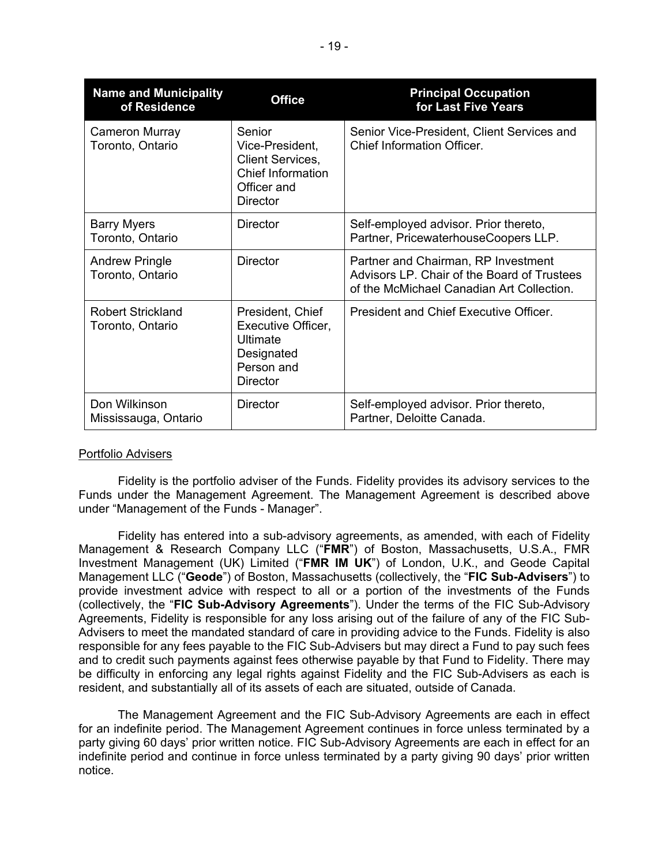| <b>Name and Municipality</b><br>of Residence | <b>Office</b>                                                                                               | <b>Principal Occupation</b><br>for Last Five Years                                                                              |
|----------------------------------------------|-------------------------------------------------------------------------------------------------------------|---------------------------------------------------------------------------------------------------------------------------------|
| Cameron Murray<br>Toronto, Ontario           | Senior<br>Vice-President,<br><b>Client Services,</b><br><b>Chief Information</b><br>Officer and<br>Director | Senior Vice-President, Client Services and<br><b>Chief Information Officer.</b>                                                 |
| <b>Barry Myers</b><br>Toronto, Ontario       | <b>Director</b>                                                                                             | Self-employed advisor. Prior thereto,<br>Partner, PricewaterhouseCoopers LLP.                                                   |
| <b>Andrew Pringle</b><br>Toronto, Ontario    | <b>Director</b>                                                                                             | Partner and Chairman, RP Investment<br>Advisors LP. Chair of the Board of Trustees<br>of the McMichael Canadian Art Collection. |
| <b>Robert Strickland</b><br>Toronto, Ontario | President, Chief<br>Executive Officer,<br><b>Ultimate</b><br>Designated<br>Person and<br><b>Director</b>    | President and Chief Executive Officer.                                                                                          |
| Don Wilkinson<br>Mississauga, Ontario        | Director                                                                                                    | Self-employed advisor. Prior thereto,<br>Partner, Deloitte Canada.                                                              |

## Portfolio Advisers

Fidelity is the portfolio adviser of the Funds. Fidelity provides its advisory services to the Funds under the Management Agreement. The Management Agreement is described above under "Management of the Funds - Manager".

Fidelity has entered into a sub-advisory agreements, as amended, with each of Fidelity Management & Research Company LLC ("**FMR**") of Boston, Massachusetts, U.S.A., FMR Investment Management (UK) Limited ("**FMR IM UK**") of London, U.K., and Geode Capital Management LLC ("**Geode**") of Boston, Massachusetts (collectively, the "**FIC Sub-Advisers**") to provide investment advice with respect to all or a portion of the investments of the Funds (collectively, the "**FIC Sub-Advisory Agreements**"). Under the terms of the FIC Sub-Advisory Agreements, Fidelity is responsible for any loss arising out of the failure of any of the FIC Sub-Advisers to meet the mandated standard of care in providing advice to the Funds. Fidelity is also responsible for any fees payable to the FIC Sub-Advisers but may direct a Fund to pay such fees and to credit such payments against fees otherwise payable by that Fund to Fidelity. There may be difficulty in enforcing any legal rights against Fidelity and the FIC Sub-Advisers as each is resident, and substantially all of its assets of each are situated, outside of Canada.

The Management Agreement and the FIC Sub-Advisory Agreements are each in effect for an indefinite period. The Management Agreement continues in force unless terminated by a party giving 60 days' prior written notice. FIC Sub-Advisory Agreements are each in effect for an indefinite period and continue in force unless terminated by a party giving 90 days' prior written notice.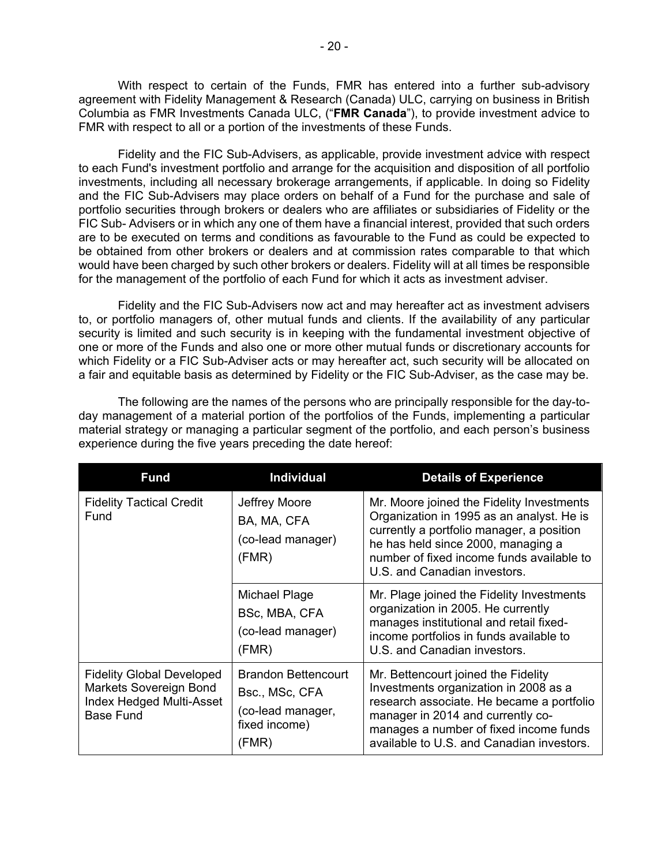With respect to certain of the Funds, FMR has entered into a further sub-advisory agreement with Fidelity Management & Research (Canada) ULC, carrying on business in British Columbia as FMR Investments Canada ULC, ("**FMR Canada**"), to provide investment advice to FMR with respect to all or a portion of the investments of these Funds.

Fidelity and the FIC Sub-Advisers, as applicable, provide investment advice with respect to each Fund's investment portfolio and arrange for the acquisition and disposition of all portfolio investments, including all necessary brokerage arrangements, if applicable. In doing so Fidelity and the FIC Sub-Advisers may place orders on behalf of a Fund for the purchase and sale of portfolio securities through brokers or dealers who are affiliates or subsidiaries of Fidelity or the FIC Sub- Advisers or in which any one of them have a financial interest, provided that such orders are to be executed on terms and conditions as favourable to the Fund as could be expected to be obtained from other brokers or dealers and at commission rates comparable to that which would have been charged by such other brokers or dealers. Fidelity will at all times be responsible for the management of the portfolio of each Fund for which it acts as investment adviser.

Fidelity and the FIC Sub-Advisers now act and may hereafter act as investment advisers to, or portfolio managers of, other mutual funds and clients. If the availability of any particular security is limited and such security is in keeping with the fundamental investment objective of one or more of the Funds and also one or more other mutual funds or discretionary accounts for which Fidelity or a FIC Sub-Adviser acts or may hereafter act, such security will be allocated on a fair and equitable basis as determined by Fidelity or the FIC Sub-Adviser, as the case may be.

The following are the names of the persons who are principally responsible for the day-today management of a material portion of the portfolios of the Funds, implementing a particular material strategy or managing a particular segment of the portfolio, and each person's business experience during the five years preceding the date hereof:

| <b>Fund</b>                                                                                                       | <b>Individual</b>                                                                           | <b>Details of Experience</b>                                                                                                                                                                                                                           |
|-------------------------------------------------------------------------------------------------------------------|---------------------------------------------------------------------------------------------|--------------------------------------------------------------------------------------------------------------------------------------------------------------------------------------------------------------------------------------------------------|
| <b>Fidelity Tactical Credit</b><br>Fund                                                                           | Jeffrey Moore<br>BA, MA, CFA<br>(co-lead manager)<br>(FMR)                                  | Mr. Moore joined the Fidelity Investments<br>Organization in 1995 as an analyst. He is<br>currently a portfolio manager, a position<br>he has held since 2000, managing a<br>number of fixed income funds available to<br>U.S. and Canadian investors. |
|                                                                                                                   | Michael Plage<br>BSc, MBA, CFA<br>(co-lead manager)<br>(FMR)                                | Mr. Plage joined the Fidelity Investments<br>organization in 2005. He currently<br>manages institutional and retail fixed-<br>income portfolios in funds available to<br>U.S. and Canadian investors.                                                  |
| <b>Fidelity Global Developed</b><br>Markets Sovereign Bond<br><b>Index Hedged Multi-Asset</b><br><b>Base Fund</b> | <b>Brandon Bettencourt</b><br>Bsc., MSc, CFA<br>(co-lead manager,<br>fixed income)<br>(FMR) | Mr. Bettencourt joined the Fidelity<br>Investments organization in 2008 as a<br>research associate. He became a portfolio<br>manager in 2014 and currently co-<br>manages a number of fixed income funds<br>available to U.S. and Canadian investors.  |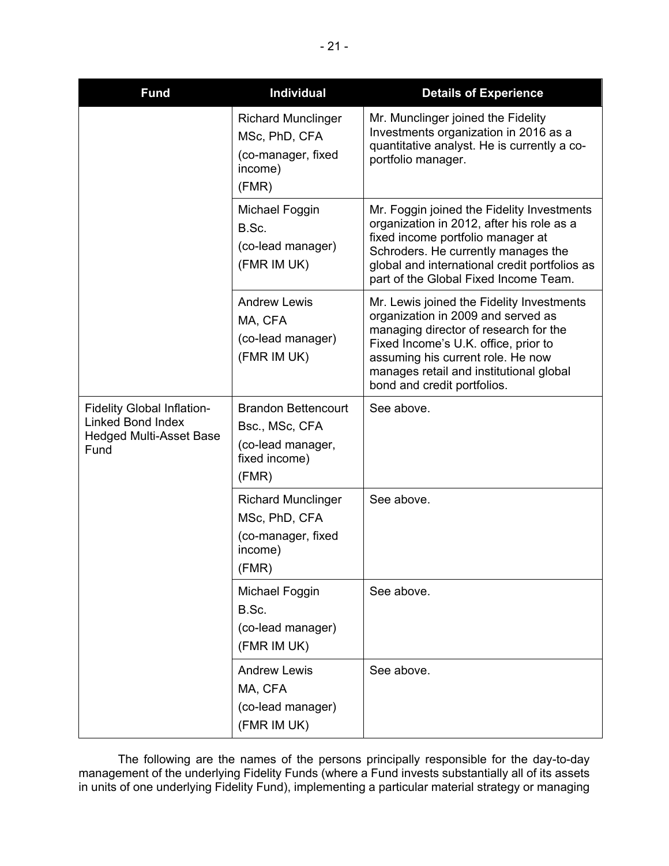| <b>Fund</b>                                                                                             | <b>Individual</b>                                                                           | <b>Details of Experience</b>                                                                                                                                                                                                                                                    |
|---------------------------------------------------------------------------------------------------------|---------------------------------------------------------------------------------------------|---------------------------------------------------------------------------------------------------------------------------------------------------------------------------------------------------------------------------------------------------------------------------------|
|                                                                                                         | <b>Richard Munclinger</b><br>MSc, PhD, CFA<br>(co-manager, fixed<br>income)<br>(FMR)        | Mr. Munclinger joined the Fidelity<br>Investments organization in 2016 as a<br>quantitative analyst. He is currently a co-<br>portfolio manager.                                                                                                                                |
|                                                                                                         | Michael Foggin<br>B.Sc.<br>(co-lead manager)<br>(FMR IM UK)                                 | Mr. Foggin joined the Fidelity Investments<br>organization in 2012, after his role as a<br>fixed income portfolio manager at<br>Schroders. He currently manages the<br>global and international credit portfolios as<br>part of the Global Fixed Income Team.                   |
|                                                                                                         | <b>Andrew Lewis</b><br>MA, CFA<br>(co-lead manager)<br>(FMR IM UK)                          | Mr. Lewis joined the Fidelity Investments<br>organization in 2009 and served as<br>managing director of research for the<br>Fixed Income's U.K. office, prior to<br>assuming his current role. He now<br>manages retail and institutional global<br>bond and credit portfolios. |
| <b>Fidelity Global Inflation-</b><br><b>Linked Bond Index</b><br><b>Hedged Multi-Asset Base</b><br>Fund | <b>Brandon Bettencourt</b><br>Bsc., MSc, CFA<br>(co-lead manager,<br>fixed income)<br>(FMR) | See above.                                                                                                                                                                                                                                                                      |
|                                                                                                         | <b>Richard Munclinger</b><br>MSc, PhD, CFA<br>(co-manager, fixed<br>income)<br>(FMR)        | See above.                                                                                                                                                                                                                                                                      |
|                                                                                                         | Michael Foggin<br>B.Sc.<br>(co-lead manager)<br>(FMR IM UK)                                 | See above.                                                                                                                                                                                                                                                                      |
|                                                                                                         | <b>Andrew Lewis</b><br>MA, CFA<br>(co-lead manager)<br>(FMR IM UK)                          | See above.                                                                                                                                                                                                                                                                      |

The following are the names of the persons principally responsible for the day-to-day management of the underlying Fidelity Funds (where a Fund invests substantially all of its assets in units of one underlying Fidelity Fund), implementing a particular material strategy or managing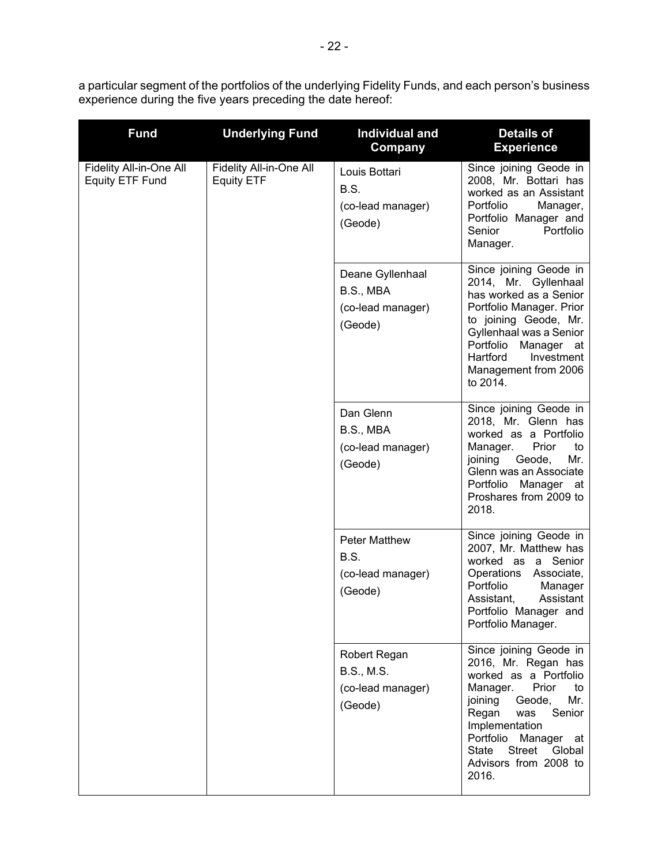a particular segment of the portfolios of the underlying Fidelity Funds, and each person's business experience during the five years preceding the date hereof:

| <b>Fund</b>                                                                                       | <b>Underlying Fund</b>                                        | <b>Individual and</b><br>Company                                                                                                                                                                                                                      | <b>Details of</b><br><b>Experience</b>                                                                                                                                                                                                                                     |
|---------------------------------------------------------------------------------------------------|---------------------------------------------------------------|-------------------------------------------------------------------------------------------------------------------------------------------------------------------------------------------------------------------------------------------------------|----------------------------------------------------------------------------------------------------------------------------------------------------------------------------------------------------------------------------------------------------------------------------|
| Fidelity All-in-One All<br>Fidelity All-in-One All<br><b>Equity ETF Fund</b><br><b>Equity ETF</b> |                                                               | Louis Bottari<br>B.S.<br>(co-lead manager)<br>(Geode)                                                                                                                                                                                                 | Since joining Geode in<br>2008, Mr. Bottari has<br>worked as an Assistant<br>Portfolio<br>Manager,<br>Portfolio Manager and<br>Senior<br>Portfolio<br>Manager.                                                                                                             |
|                                                                                                   | Deane Gyllenhaal<br>B.S., MBA<br>(co-lead manager)<br>(Geode) | Since joining Geode in<br>2014, Mr. Gyllenhaal<br>has worked as a Senior<br>Portfolio Manager. Prior<br>to joining Geode, Mr.<br>Gyllenhaal was a Senior<br>Portfolio<br>Manager<br>_at<br>Hartford<br>Investment<br>Management from 2006<br>to 2014. |                                                                                                                                                                                                                                                                            |
|                                                                                                   | Dan Glenn<br>B.S., MBA<br>(co-lead manager)<br>(Geode)        | Since joining Geode in<br>2018, Mr. Glenn has<br>worked as a Portfolio<br>Prior<br>Manager.<br>to<br>Geode,<br>Mr.<br>joining<br>Glenn was an Associate<br>Portfolio Manager at<br>Proshares from 2009 to<br>2018.                                    |                                                                                                                                                                                                                                                                            |
|                                                                                                   | <b>Peter Matthew</b><br>B.S.<br>(co-lead manager)<br>(Geode)  | Since joining Geode in<br>2007, Mr. Matthew has<br>worked as a Senior<br>Operations<br>Associate,<br>Portfolio<br>Manager<br>Assistant<br>Assistant,<br>Portfolio Manager and<br>Portfolio Manager.                                                   |                                                                                                                                                                                                                                                                            |
|                                                                                                   |                                                               | Robert Regan<br>B.S., M.S.<br>(co-lead manager)<br>(Geode)                                                                                                                                                                                            | Since joining Geode in<br>2016, Mr. Regan has<br>worked as a Portfolio<br>Manager.<br>Prior<br>to<br>Geode,<br>joining<br>Mr.<br>Regan<br>Senior<br>was<br>Implementation<br>Portfolio<br>Manager at<br>Street<br><b>State</b><br>Global<br>Advisors from 2008 to<br>2016. |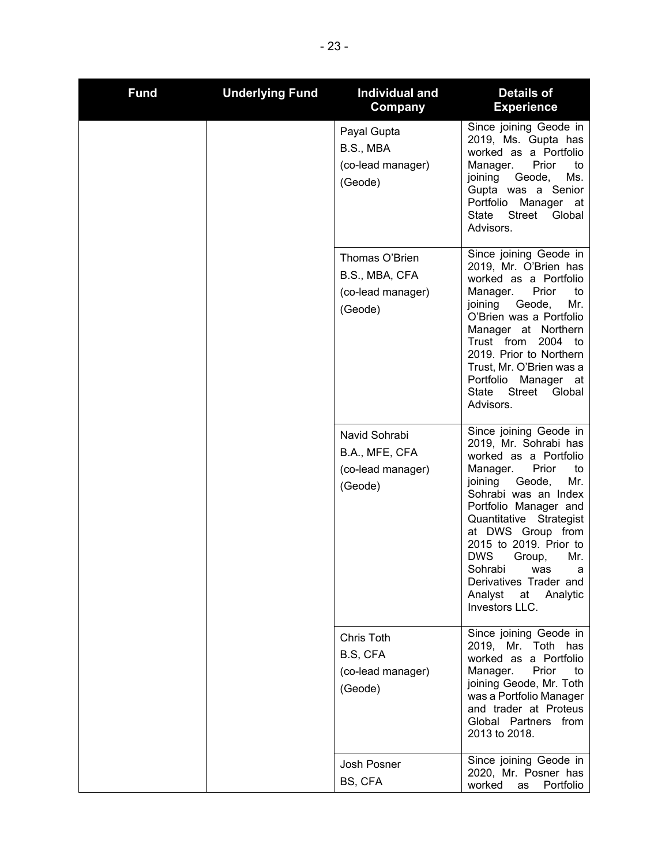| <b>Fund</b> | <b>Underlying Fund</b> | <b>Individual and</b><br>Company                                 | <b>Details of</b><br><b>Experience</b>                                                                                                                                                                                                                                                                                                                                                 |
|-------------|------------------------|------------------------------------------------------------------|----------------------------------------------------------------------------------------------------------------------------------------------------------------------------------------------------------------------------------------------------------------------------------------------------------------------------------------------------------------------------------------|
|             |                        | Payal Gupta<br>B.S., MBA<br>(co-lead manager)<br>(Geode)         | Since joining Geode in<br>2019, Ms. Gupta has<br>worked as a Portfolio<br>Manager.<br>Prior<br>to<br>Ms.<br>joining<br>Geode,<br>Gupta was a Senior<br>Portfolio<br>Manager<br>at<br>Street<br>State<br>Global<br>Advisors.                                                                                                                                                            |
|             |                        | Thomas O'Brien<br>B.S., MBA, CFA<br>(co-lead manager)<br>(Geode) | Since joining Geode in<br>2019, Mr. O'Brien has<br>worked as a Portfolio<br>Prior<br>Manager.<br>to<br>Mr.<br>joining<br>Geode,<br>O'Brien was a Portfolio<br>Manager at Northern<br>Trust from<br>2004<br>to<br>2019. Prior to Northern<br>Trust, Mr. O'Brien was a<br>Portfolio<br>Manager<br>at<br><b>Street</b><br>State<br>Global<br>Advisors.                                    |
|             |                        | Navid Sohrabi<br>B.A., MFE, CFA<br>(co-lead manager)<br>(Geode)  | Since joining Geode in<br>2019, Mr. Sohrabi has<br>worked as a Portfolio<br>Prior<br>Manager.<br>to<br>Mr.<br>joining<br>Geode,<br>Sohrabi was an Index<br>Portfolio Manager and<br>Quantitative Strategist<br>at DWS Group from<br>2015 to 2019. Prior to<br><b>DWS</b><br>Mr.<br>Group,<br>Sohrabi<br>was<br>a<br>Derivatives Trader and<br>Analyst<br>at Analytic<br>Investors LLC. |
|             |                        | Chris Toth<br>B.S, CFA<br>(co-lead manager)<br>(Geode)           | Since joining Geode in<br>2019, Mr. Toth has<br>worked as a Portfolio<br>Manager.<br>Prior<br>to<br>joining Geode, Mr. Toth<br>was a Portfolio Manager<br>and trader at Proteus<br>Global Partners<br>from<br>2013 to 2018.                                                                                                                                                            |
|             |                        | Josh Posner<br>BS, CFA                                           | Since joining Geode in<br>2020, Mr. Posner has<br>worked<br>Portfolio<br>as                                                                                                                                                                                                                                                                                                            |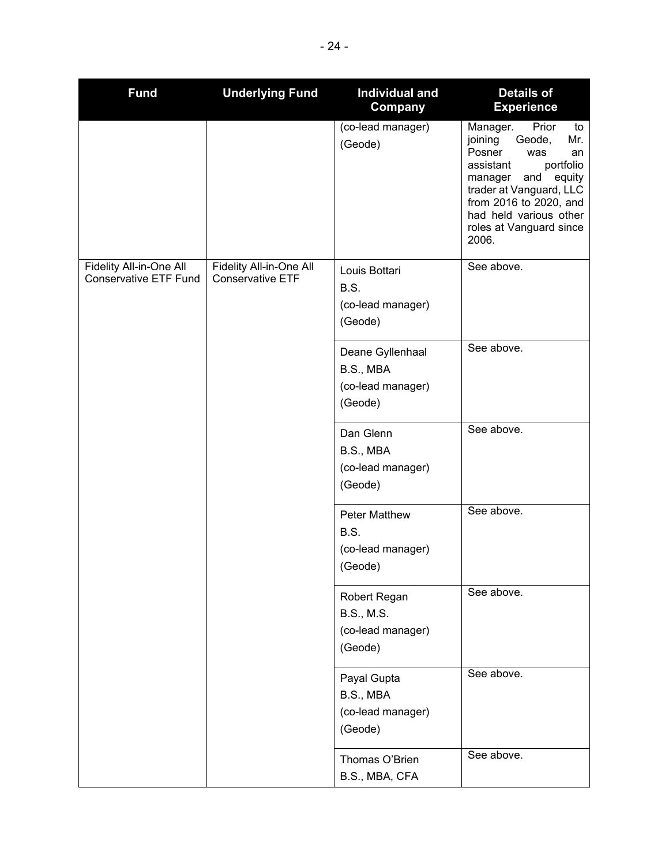| <b>Fund</b>                                             | <b>Underlying Fund</b>                             | <b>Individual and</b><br>Company                                  | <b>Details of</b><br><b>Experience</b>                                                                                                                                                                                                              |
|---------------------------------------------------------|----------------------------------------------------|-------------------------------------------------------------------|-----------------------------------------------------------------------------------------------------------------------------------------------------------------------------------------------------------------------------------------------------|
|                                                         |                                                    | (co-lead manager)<br>(Geode)                                      | Prior<br>Manager.<br>to<br>joining<br>Geode,<br>Mr.<br>Posner<br>was<br>an<br>assistant<br>portfolio<br>and<br>equity<br>manager<br>trader at Vanguard, LLC<br>from 2016 to 2020, and<br>had held various other<br>roles at Vanguard since<br>2006. |
| Fidelity All-in-One All<br><b>Conservative ETF Fund</b> | Fidelity All-in-One All<br><b>Conservative ETF</b> | Louis Bottari<br>B.S.<br>(co-lead manager)<br>(Geode)             | See above.                                                                                                                                                                                                                                          |
|                                                         |                                                    | Deane Gyllenhaal<br>B.S., MBA<br>(co-lead manager)<br>(Geode)     | See above.                                                                                                                                                                                                                                          |
|                                                         |                                                    | Dan Glenn<br>B.S., MBA<br>(co-lead manager)<br>(Geode)            | See above.                                                                                                                                                                                                                                          |
|                                                         |                                                    | <b>Peter Matthew</b><br>B.S.<br>(co-lead manager)<br>(Geode)      | See above.                                                                                                                                                                                                                                          |
|                                                         |                                                    | Robert Regan<br><b>B.S., M.S.</b><br>(co-lead manager)<br>(Geode) | See above.                                                                                                                                                                                                                                          |
|                                                         |                                                    | Payal Gupta<br>B.S., MBA<br>(co-lead manager)<br>(Geode)          | See above.                                                                                                                                                                                                                                          |
|                                                         |                                                    | Thomas O'Brien<br>B.S., MBA, CFA                                  | See above.                                                                                                                                                                                                                                          |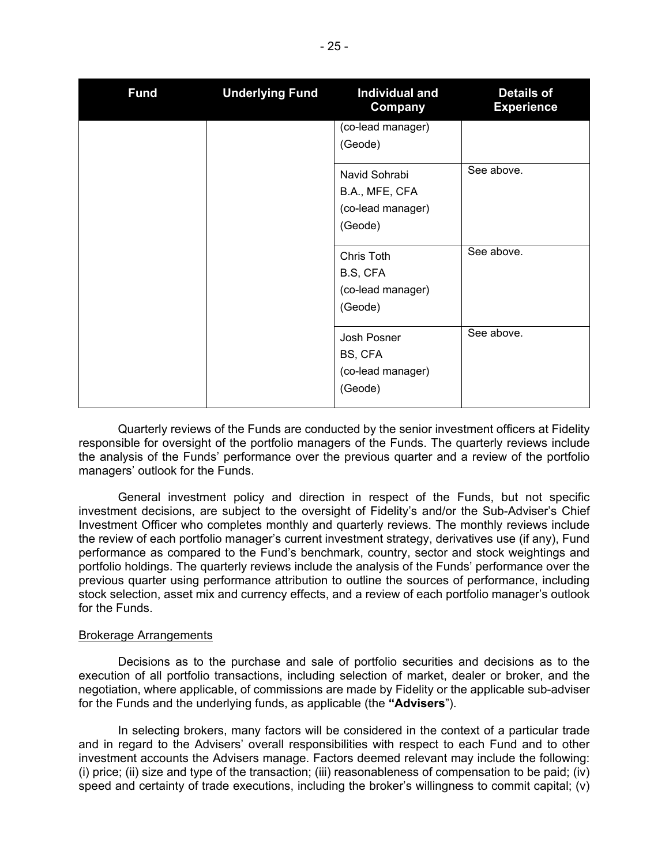| <b>Fund</b> | <b>Underlying Fund</b> | Individual and<br>Company | <b>Details of</b><br><b>Experience</b> |
|-------------|------------------------|---------------------------|----------------------------------------|
|             |                        | (co-lead manager)         |                                        |
|             |                        | (Geode)                   |                                        |
|             |                        | Navid Sohrabi             | See above.                             |
|             |                        | B.A., MFE, CFA            |                                        |
|             |                        | (co-lead manager)         |                                        |
|             |                        | (Geode)                   |                                        |
|             |                        | Chris Toth                | See above.                             |
|             |                        | B.S, CFA                  |                                        |
|             |                        | (co-lead manager)         |                                        |
|             |                        | (Geode)                   |                                        |
|             |                        | Josh Posner               | See above.                             |
|             |                        | BS, CFA                   |                                        |
|             |                        | (co-lead manager)         |                                        |
|             |                        | (Geode)                   |                                        |

Quarterly reviews of the Funds are conducted by the senior investment officers at Fidelity responsible for oversight of the portfolio managers of the Funds. The quarterly reviews include the analysis of the Funds' performance over the previous quarter and a review of the portfolio managers' outlook for the Funds.

General investment policy and direction in respect of the Funds, but not specific investment decisions, are subject to the oversight of Fidelity's and/or the Sub-Adviser's Chief Investment Officer who completes monthly and quarterly reviews. The monthly reviews include the review of each portfolio manager's current investment strategy, derivatives use (if any), Fund performance as compared to the Fund's benchmark, country, sector and stock weightings and portfolio holdings. The quarterly reviews include the analysis of the Funds' performance over the previous quarter using performance attribution to outline the sources of performance, including stock selection, asset mix and currency effects, and a review of each portfolio manager's outlook for the Funds.

#### Brokerage Arrangements

Decisions as to the purchase and sale of portfolio securities and decisions as to the execution of all portfolio transactions, including selection of market, dealer or broker, and the negotiation, where applicable, of commissions are made by Fidelity or the applicable sub-adviser for the Funds and the underlying funds, as applicable (the **"Advisers**").

In selecting brokers, many factors will be considered in the context of a particular trade and in regard to the Advisers' overall responsibilities with respect to each Fund and to other investment accounts the Advisers manage. Factors deemed relevant may include the following: (i) price; (ii) size and type of the transaction; (iii) reasonableness of compensation to be paid; (iv) speed and certainty of trade executions, including the broker's willingness to commit capital; (v)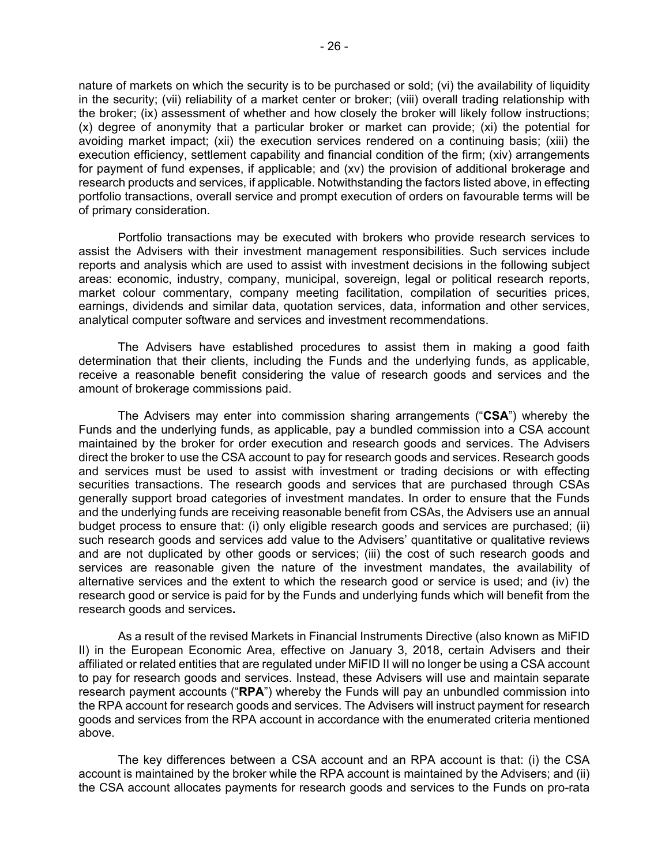nature of markets on which the security is to be purchased or sold; (vi) the availability of liquidity in the security; (vii) reliability of a market center or broker; (viii) overall trading relationship with the broker; (ix) assessment of whether and how closely the broker will likely follow instructions; (x) degree of anonymity that a particular broker or market can provide; (xi) the potential for avoiding market impact; (xii) the execution services rendered on a continuing basis; (xiii) the execution efficiency, settlement capability and financial condition of the firm; (xiv) arrangements for payment of fund expenses, if applicable; and (xv) the provision of additional brokerage and research products and services, if applicable. Notwithstanding the factors listed above, in effecting portfolio transactions, overall service and prompt execution of orders on favourable terms will be of primary consideration.

Portfolio transactions may be executed with brokers who provide research services to assist the Advisers with their investment management responsibilities. Such services include reports and analysis which are used to assist with investment decisions in the following subject areas: economic, industry, company, municipal, sovereign, legal or political research reports, market colour commentary, company meeting facilitation, compilation of securities prices, earnings, dividends and similar data, quotation services, data, information and other services, analytical computer software and services and investment recommendations.

The Advisers have established procedures to assist them in making a good faith determination that their clients, including the Funds and the underlying funds, as applicable, receive a reasonable benefit considering the value of research goods and services and the amount of brokerage commissions paid.

The Advisers may enter into commission sharing arrangements ("**CSA**") whereby the Funds and the underlying funds, as applicable, pay a bundled commission into a CSA account maintained by the broker for order execution and research goods and services. The Advisers direct the broker to use the CSA account to pay for research goods and services. Research goods and services must be used to assist with investment or trading decisions or with effecting securities transactions. The research goods and services that are purchased through CSAs generally support broad categories of investment mandates. In order to ensure that the Funds and the underlying funds are receiving reasonable benefit from CSAs, the Advisers use an annual budget process to ensure that: (i) only eligible research goods and services are purchased; (ii) such research goods and services add value to the Advisers' quantitative or qualitative reviews and are not duplicated by other goods or services; (iii) the cost of such research goods and services are reasonable given the nature of the investment mandates, the availability of alternative services and the extent to which the research good or service is used; and (iv) the research good or service is paid for by the Funds and underlying funds which will benefit from the research goods and services**.**

As a result of the revised Markets in Financial Instruments Directive (also known as MiFID II) in the European Economic Area, effective on January 3, 2018, certain Advisers and their affiliated or related entities that are regulated under MiFID II will no longer be using a CSA account to pay for research goods and services. Instead, these Advisers will use and maintain separate research payment accounts ("**RPA**") whereby the Funds will pay an unbundled commission into the RPA account for research goods and services. The Advisers will instruct payment for research goods and services from the RPA account in accordance with the enumerated criteria mentioned above.

The key differences between a CSA account and an RPA account is that: (i) the CSA account is maintained by the broker while the RPA account is maintained by the Advisers; and (ii) the CSA account allocates payments for research goods and services to the Funds on pro-rata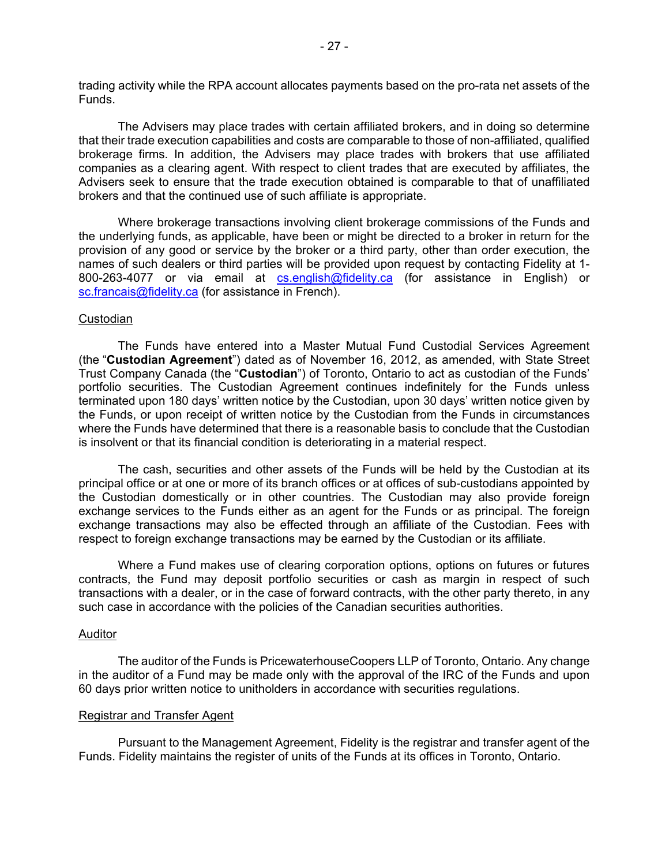trading activity while the RPA account allocates payments based on the pro-rata net assets of the Funds.

The Advisers may place trades with certain affiliated brokers, and in doing so determine that their trade execution capabilities and costs are comparable to those of non-affiliated, qualified brokerage firms. In addition, the Advisers may place trades with brokers that use affiliated companies as a clearing agent. With respect to client trades that are executed by affiliates, the Advisers seek to ensure that the trade execution obtained is comparable to that of unaffiliated brokers and that the continued use of such affiliate is appropriate.

Where brokerage transactions involving client brokerage commissions of the Funds and the underlying funds, as applicable, have been or might be directed to a broker in return for the provision of any good or service by the broker or a third party, other than order execution, the names of such dealers or third parties will be provided upon request by contacting Fidelity at 1 800-263-4077 or via email at [cs.english@fidelity.ca](mailto:cs.english@fidelity.ca) (for assistance in English) or [sc.francais@fidelity.ca](mailto:sc.francais@fidelity.ca) (for assistance in French).

## **Custodian**

The Funds have entered into a Master Mutual Fund Custodial Services Agreement (the "**Custodian Agreement**") dated as of November 16, 2012, as amended, with State Street Trust Company Canada (the "**Custodian**") of Toronto, Ontario to act as custodian of the Funds' portfolio securities. The Custodian Agreement continues indefinitely for the Funds unless terminated upon 180 days' written notice by the Custodian, upon 30 days' written notice given by the Funds, or upon receipt of written notice by the Custodian from the Funds in circumstances where the Funds have determined that there is a reasonable basis to conclude that the Custodian is insolvent or that its financial condition is deteriorating in a material respect.

The cash, securities and other assets of the Funds will be held by the Custodian at its principal office or at one or more of its branch offices or at offices of sub-custodians appointed by the Custodian domestically or in other countries. The Custodian may also provide foreign exchange services to the Funds either as an agent for the Funds or as principal. The foreign exchange transactions may also be effected through an affiliate of the Custodian. Fees with respect to foreign exchange transactions may be earned by the Custodian or its affiliate.

Where a Fund makes use of clearing corporation options, options on futures or futures contracts, the Fund may deposit portfolio securities or cash as margin in respect of such transactions with a dealer, or in the case of forward contracts, with the other party thereto, in any such case in accordance with the policies of the Canadian securities authorities.

# Auditor

The auditor of the Funds is PricewaterhouseCoopers LLP of Toronto, Ontario. Any change in the auditor of a Fund may be made only with the approval of the IRC of the Funds and upon 60 days prior written notice to unitholders in accordance with securities regulations.

#### Registrar and Transfer Agent

Pursuant to the Management Agreement, Fidelity is the registrar and transfer agent of the Funds. Fidelity maintains the register of units of the Funds at its offices in Toronto, Ontario.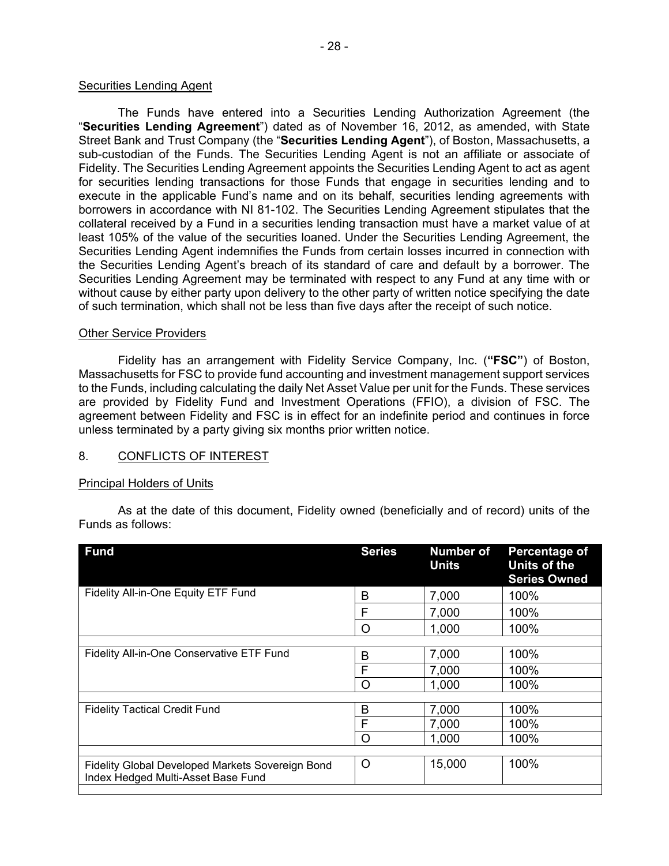## Securities Lending Agent

The Funds have entered into a Securities Lending Authorization Agreement (the "**Securities Lending Agreement**") dated as of November 16, 2012, as amended, with State Street Bank and Trust Company (the "**Securities Lending Agent**"), of Boston, Massachusetts, a sub-custodian of the Funds. The Securities Lending Agent is not an affiliate or associate of Fidelity. The Securities Lending Agreement appoints the Securities Lending Agent to act as agent for securities lending transactions for those Funds that engage in securities lending and to execute in the applicable Fund's name and on its behalf, securities lending agreements with borrowers in accordance with NI 81-102. The Securities Lending Agreement stipulates that the collateral received by a Fund in a securities lending transaction must have a market value of at least 105% of the value of the securities loaned. Under the Securities Lending Agreement, the Securities Lending Agent indemnifies the Funds from certain losses incurred in connection with the Securities Lending Agent's breach of its standard of care and default by a borrower. The Securities Lending Agreement may be terminated with respect to any Fund at any time with or without cause by either party upon delivery to the other party of written notice specifying the date of such termination, which shall not be less than five days after the receipt of such notice.

## Other Service Providers

Fidelity has an arrangement with Fidelity Service Company, Inc. (**"FSC"**) of Boston, Massachusetts for FSC to provide fund accounting and investment management support services to the Funds, including calculating the daily Net Asset Value per unit for the Funds. These services are provided by Fidelity Fund and Investment Operations (FFIO), a division of FSC. The agreement between Fidelity and FSC is in effect for an indefinite period and continues in force unless terminated by a party giving six months prior written notice.

# <span id="page-29-0"></span>8. CONFLICTS OF INTEREST

## Principal Holders of Units

As at the date of this document, Fidelity owned (beneficially and of record) units of the Funds as follows:

|       | <b>Units</b> | Percentage of<br><b>Units of the</b><br><b>Series Owned</b>                    |
|-------|--------------|--------------------------------------------------------------------------------|
| 7,000 |              | 100%                                                                           |
|       |              | 100%                                                                           |
|       |              | 100%                                                                           |
|       |              |                                                                                |
|       |              | 100%                                                                           |
|       |              | 100%                                                                           |
|       |              | 100%                                                                           |
|       |              |                                                                                |
|       |              | 100%                                                                           |
|       |              | 100%                                                                           |
|       |              | 100%                                                                           |
|       |              |                                                                                |
|       |              | 100%                                                                           |
|       |              | 7,000<br>1,000<br>7,000<br>7,000<br>1,000<br>7,000<br>7,000<br>1,000<br>15,000 |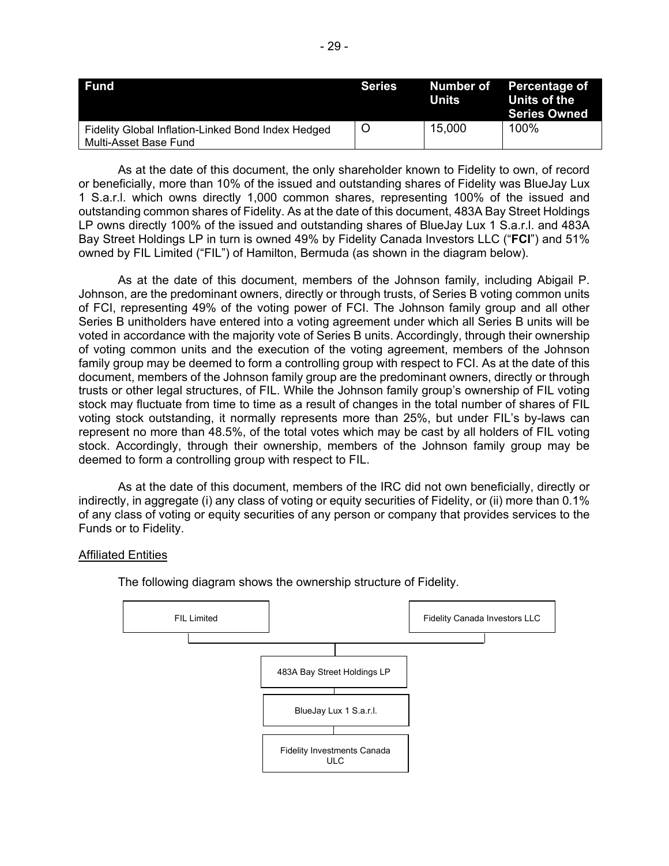| <b>Fund</b>                                                                 | Series | Units  | Number of Percentage of<br>Units of the<br><b>Series Owned</b> |
|-----------------------------------------------------------------------------|--------|--------|----------------------------------------------------------------|
| Fidelity Global Inflation-Linked Bond Index Hedged<br>Multi-Asset Base Fund |        | 15,000 | 100%                                                           |

As at the date of this document, the only shareholder known to Fidelity to own, of record or beneficially, more than 10% of the issued and outstanding shares of Fidelity was BlueJay Lux 1 S.a.r.l. which owns directly 1,000 common shares, representing 100% of the issued and outstanding common shares of Fidelity. As at the date of this document, 483A Bay Street Holdings LP owns directly 100% of the issued and outstanding shares of BlueJay Lux 1 S.a.r.l. and 483A Bay Street Holdings LP in turn is owned 49% by Fidelity Canada Investors LLC ("**FCI**") and 51% owned by FIL Limited ("FIL") of Hamilton, Bermuda (as shown in the diagram below).

As at the date of this document, members of the Johnson family, including Abigail P. Johnson, are the predominant owners, directly or through trusts, of Series B voting common units of FCI, representing 49% of the voting power of FCI. The Johnson family group and all other Series B unitholders have entered into a voting agreement under which all Series B units will be voted in accordance with the majority vote of Series B units. Accordingly, through their ownership of voting common units and the execution of the voting agreement, members of the Johnson family group may be deemed to form a controlling group with respect to FCI. As at the date of this document, members of the Johnson family group are the predominant owners, directly or through trusts or other legal structures, of FIL. While the Johnson family group's ownership of FIL voting stock may fluctuate from time to time as a result of changes in the total number of shares of FIL voting stock outstanding, it normally represents more than 25%, but under FIL's by-laws can represent no more than 48.5%, of the total votes which may be cast by all holders of FIL voting stock. Accordingly, through their ownership, members of the Johnson family group may be deemed to form a controlling group with respect to FIL.

As at the date of this document, members of the IRC did not own beneficially, directly or indirectly, in aggregate (i) any class of voting or equity securities of Fidelity, or (ii) more than 0.1% of any class of voting or equity securities of any person or company that provides services to the Funds or to Fidelity.

## Affiliated Entities



The following diagram shows the ownership structure of Fidelity.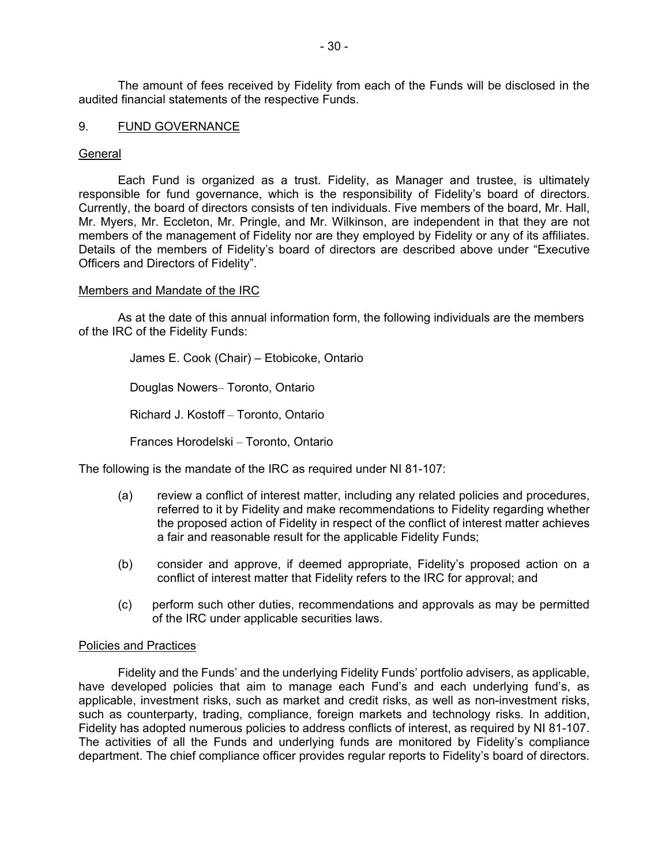The amount of fees received by Fidelity from each of the Funds will be disclosed in the audited financial statements of the respective Funds.

## <span id="page-31-0"></span>9. FUND GOVERNANCE

## General

Each Fund is organized as a trust. Fidelity, as Manager and trustee, is ultimately responsible for fund governance, which is the responsibility of Fidelity's board of directors. Currently, the board of directors consists of ten individuals. Five members of the board, Mr. Hall, Mr. Myers, Mr. Eccleton, Mr. Pringle, and Mr. Wilkinson, are independent in that they are not members of the management of Fidelity nor are they employed by Fidelity or any of its affiliates. Details of the members of Fidelity's board of directors are described above under "Executive Officers and Directors of Fidelity".

#### Members and Mandate of the IRC

As at the date of this annual information form, the following individuals are the members of the IRC of the Fidelity Funds:

James E. Cook (Chair) – Etobicoke, Ontario

Douglas Nowers– Toronto, Ontario

Richard J. Kostoff – Toronto, Ontario

Frances Horodelski – Toronto, Ontario

The following is the mandate of the IRC as required under NI 81-107:

- (a) review a conflict of interest matter, including any related policies and procedures, referred to it by Fidelity and make recommendations to Fidelity regarding whether the proposed action of Fidelity in respect of the conflict of interest matter achieves a fair and reasonable result for the applicable Fidelity Funds;
- (b) consider and approve, if deemed appropriate, Fidelity's proposed action on a conflict of interest matter that Fidelity refers to the IRC for approval; and
- (c) perform such other duties, recommendations and approvals as may be permitted of the IRC under applicable securities laws.

#### Policies and Practices

Fidelity and the Funds' and the underlying Fidelity Funds' portfolio advisers, as applicable, have developed policies that aim to manage each Fund's and each underlying fund's, as applicable, investment risks, such as market and credit risks, as well as non-investment risks, such as counterparty, trading, compliance, foreign markets and technology risks. In addition, Fidelity has adopted numerous policies to address conflicts of interest, as required by NI 81-107. The activities of all the Funds and underlying funds are monitored by Fidelity's compliance department. The chief compliance officer provides regular reports to Fidelity's board of directors.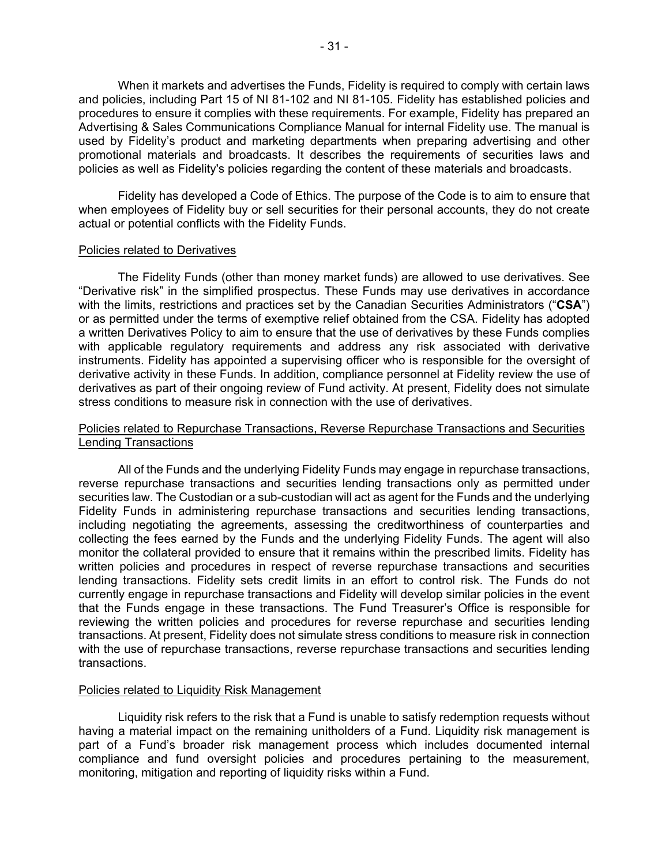When it markets and advertises the Funds, Fidelity is required to comply with certain laws and policies, including Part 15 of NI 81-102 and NI 81-105. Fidelity has established policies and procedures to ensure it complies with these requirements. For example, Fidelity has prepared an Advertising & Sales Communications Compliance Manual for internal Fidelity use. The manual is used by Fidelity's product and marketing departments when preparing advertising and other promotional materials and broadcasts. It describes the requirements of securities laws and policies as well as Fidelity's policies regarding the content of these materials and broadcasts.

Fidelity has developed a Code of Ethics. The purpose of the Code is to aim to ensure that when employees of Fidelity buy or sell securities for their personal accounts, they do not create actual or potential conflicts with the Fidelity Funds.

#### Policies related to Derivatives

The Fidelity Funds (other than money market funds) are allowed to use derivatives. See "Derivative risk" in the simplified prospectus. These Funds may use derivatives in accordance with the limits, restrictions and practices set by the Canadian Securities Administrators ("**CSA**") or as permitted under the terms of exemptive relief obtained from the CSA. Fidelity has adopted a written Derivatives Policy to aim to ensure that the use of derivatives by these Funds complies with applicable regulatory requirements and address any risk associated with derivative instruments. Fidelity has appointed a supervising officer who is responsible for the oversight of derivative activity in these Funds. In addition, compliance personnel at Fidelity review the use of derivatives as part of their ongoing review of Fund activity. At present, Fidelity does not simulate stress conditions to measure risk in connection with the use of derivatives.

## Policies related to Repurchase Transactions, Reverse Repurchase Transactions and Securities Lending Transactions

All of the Funds and the underlying Fidelity Funds may engage in repurchase transactions, reverse repurchase transactions and securities lending transactions only as permitted under securities law. The Custodian or a sub-custodian will act as agent for the Funds and the underlying Fidelity Funds in administering repurchase transactions and securities lending transactions, including negotiating the agreements, assessing the creditworthiness of counterparties and collecting the fees earned by the Funds and the underlying Fidelity Funds. The agent will also monitor the collateral provided to ensure that it remains within the prescribed limits. Fidelity has written policies and procedures in respect of reverse repurchase transactions and securities lending transactions. Fidelity sets credit limits in an effort to control risk. The Funds do not currently engage in repurchase transactions and Fidelity will develop similar policies in the event that the Funds engage in these transactions. The Fund Treasurer's Office is responsible for reviewing the written policies and procedures for reverse repurchase and securities lending transactions. At present, Fidelity does not simulate stress conditions to measure risk in connection with the use of repurchase transactions, reverse repurchase transactions and securities lending transactions.

## Policies related to Liquidity Risk Management

Liquidity risk refers to the risk that a Fund is unable to satisfy redemption requests without having a material impact on the remaining unitholders of a Fund. Liquidity risk management is part of a Fund's broader risk management process which includes documented internal compliance and fund oversight policies and procedures pertaining to the measurement, monitoring, mitigation and reporting of liquidity risks within a Fund.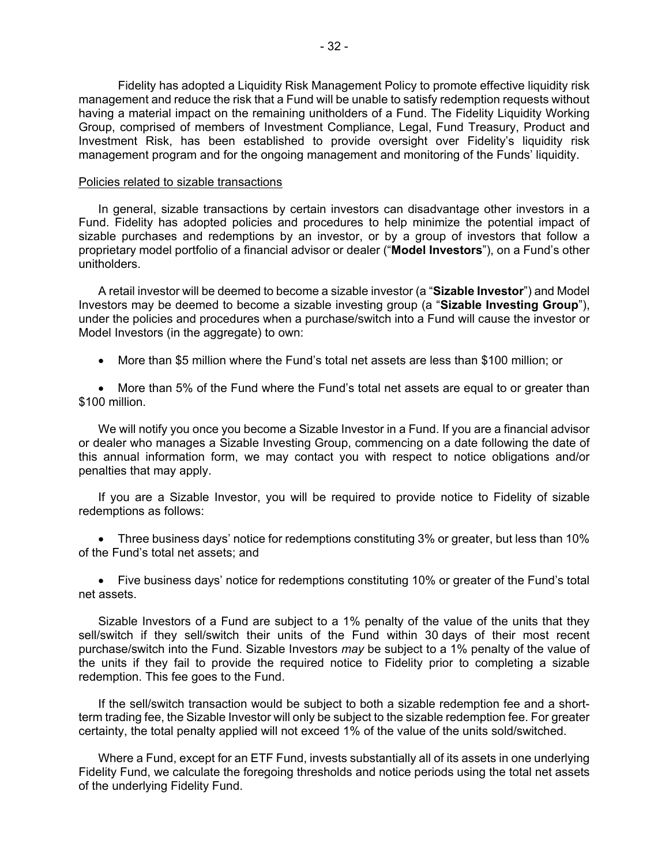Fidelity has adopted a Liquidity Risk Management Policy to promote effective liquidity risk management and reduce the risk that a Fund will be unable to satisfy redemption requests without having a material impact on the remaining unitholders of a Fund. The Fidelity Liquidity Working Group, comprised of members of Investment Compliance, Legal, Fund Treasury, Product and Investment Risk, has been established to provide oversight over Fidelity's liquidity risk management program and for the ongoing management and monitoring of the Funds' liquidity.

#### Policies related to sizable transactions

In general, sizable transactions by certain investors can disadvantage other investors in a Fund. Fidelity has adopted policies and procedures to help minimize the potential impact of sizable purchases and redemptions by an investor, or by a group of investors that follow a proprietary model portfolio of a financial advisor or dealer ("**Model Investors**"), on a Fund's other unitholders.

A retail investor will be deemed to become a sizable investor (a "**Sizable Investor**") and Model Investors may be deemed to become a sizable investing group (a "**Sizable Investing Group**"), under the policies and procedures when a purchase/switch into a Fund will cause the investor or Model Investors (in the aggregate) to own:

• More than \$5 million where the Fund's total net assets are less than \$100 million; or

• More than 5% of the Fund where the Fund's total net assets are equal to or greater than \$100 million.

We will notify you once you become a Sizable Investor in a Fund. If you are a financial advisor or dealer who manages a Sizable Investing Group, commencing on a date following the date of this annual information form, we may contact you with respect to notice obligations and/or penalties that may apply.

If you are a Sizable Investor, you will be required to provide notice to Fidelity of sizable redemptions as follows:

• Three business days' notice for redemptions constituting 3% or greater, but less than 10% of the Fund's total net assets; and

• Five business days' notice for redemptions constituting 10% or greater of the Fund's total net assets.

Sizable Investors of a Fund are subject to a 1% penalty of the value of the units that they sell/switch if they sell/switch their units of the Fund within 30 days of their most recent purchase/switch into the Fund. Sizable Investors *may* be subject to a 1% penalty of the value of the units if they fail to provide the required notice to Fidelity prior to completing a sizable redemption. This fee goes to the Fund.

If the sell/switch transaction would be subject to both a sizable redemption fee and a shortterm trading fee, the Sizable Investor will only be subject to the sizable redemption fee. For greater certainty, the total penalty applied will not exceed 1% of the value of the units sold/switched.

Where a Fund, except for an ETF Fund, invests substantially all of its assets in one underlying Fidelity Fund, we calculate the foregoing thresholds and notice periods using the total net assets of the underlying Fidelity Fund.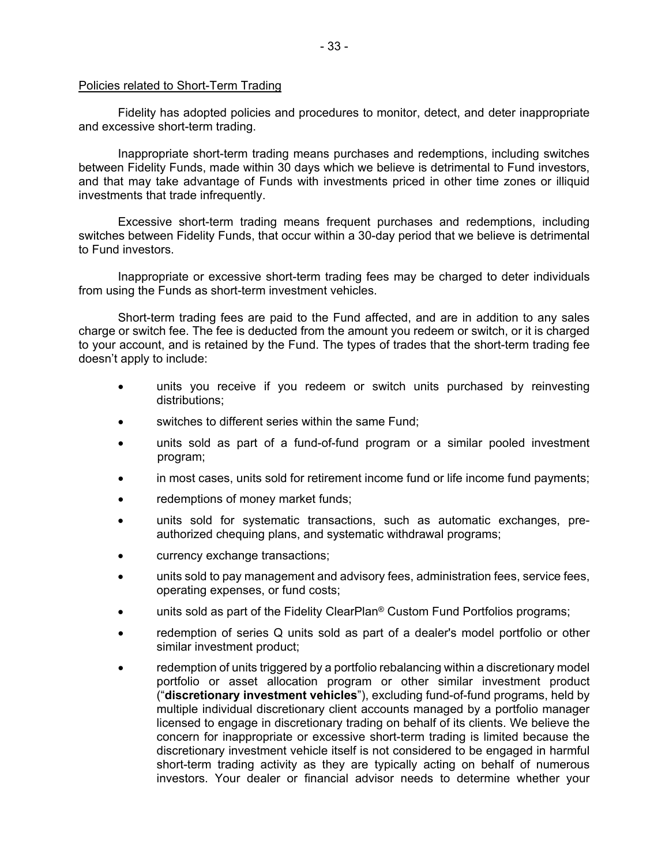## Policies related to Short-Term Trading

Fidelity has adopted policies and procedures to monitor, detect, and deter inappropriate and excessive short-term trading.

Inappropriate short-term trading means purchases and redemptions, including switches between Fidelity Funds, made within 30 days which we believe is detrimental to Fund investors, and that may take advantage of Funds with investments priced in other time zones or illiquid investments that trade infrequently.

Excessive short-term trading means frequent purchases and redemptions, including switches between Fidelity Funds, that occur within a 30-day period that we believe is detrimental to Fund investors.

Inappropriate or excessive short-term trading fees may be charged to deter individuals from using the Funds as short-term investment vehicles.

Short-term trading fees are paid to the Fund affected, and are in addition to any sales charge or switch fee. The fee is deducted from the amount you redeem or switch, or it is charged to your account, and is retained by the Fund. The types of trades that the short-term trading fee doesn't apply to include:

- units you receive if you redeem or switch units purchased by reinvesting distributions;
- switches to different series within the same Fund;
- units sold as part of a fund-of-fund program or a similar pooled investment program;
- in most cases, units sold for retirement income fund or life income fund payments;
- redemptions of money market funds;
- units sold for systematic transactions, such as automatic exchanges, preauthorized chequing plans, and systematic withdrawal programs;
- currency exchange transactions;
- units sold to pay management and advisory fees, administration fees, service fees, operating expenses, or fund costs;
- units sold as part of the Fidelity ClearPlan<sup>®</sup> Custom Fund Portfolios programs;
- redemption of series Q units sold as part of a dealer's model portfolio or other similar investment product;
- redemption of units triggered by a portfolio rebalancing within a discretionary model portfolio or asset allocation program or other similar investment product ("**discretionary investment vehicles**"), excluding fund-of-fund programs, held by multiple individual discretionary client accounts managed by a portfolio manager licensed to engage in discretionary trading on behalf of its clients. We believe the concern for inappropriate or excessive short-term trading is limited because the discretionary investment vehicle itself is not considered to be engaged in harmful short-term trading activity as they are typically acting on behalf of numerous investors. Your dealer or financial advisor needs to determine whether your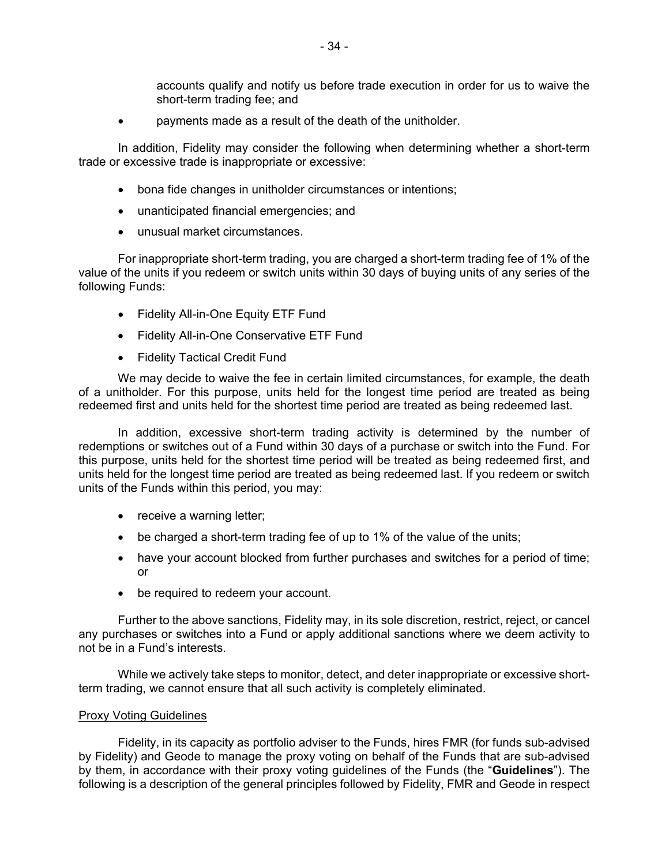accounts qualify and notify us before trade execution in order for us to waive the short-term trading fee; and

• payments made as a result of the death of the unitholder.

In addition, Fidelity may consider the following when determining whether a short-term trade or excessive trade is inappropriate or excessive:

- bona fide changes in unitholder circumstances or intentions;
- unanticipated financial emergencies; and
- unusual market circumstances.

For inappropriate short-term trading, you are charged a short-term trading fee of 1% of the value of the units if you redeem or switch units within 30 days of buying units of any series of the following Funds:

- Fidelity All-in-One Equity ETF Fund
- Fidelity All-in-One Conservative ETF Fund
- Fidelity Tactical Credit Fund

We may decide to waive the fee in certain limited circumstances, for example, the death of a unitholder. For this purpose, units held for the longest time period are treated as being redeemed first and units held for the shortest time period are treated as being redeemed last.

In addition, excessive short-term trading activity is determined by the number of redemptions or switches out of a Fund within 30 days of a purchase or switch into the Fund. For this purpose, units held for the shortest time period will be treated as being redeemed first, and units held for the longest time period are treated as being redeemed last. If you redeem or switch units of the Funds within this period, you may:

- receive a warning letter;
- be charged a short-term trading fee of up to 1% of the value of the units;
- have your account blocked from further purchases and switches for a period of time; or
- be required to redeem your account.

Further to the above sanctions, Fidelity may, in its sole discretion, restrict, reject, or cancel any purchases or switches into a Fund or apply additional sanctions where we deem activity to not be in a Fund's interests.

While we actively take steps to monitor, detect, and deter inappropriate or excessive shortterm trading, we cannot ensure that all such activity is completely eliminated.

## **Proxy Voting Guidelines**

Fidelity, in its capacity as portfolio adviser to the Funds, hires FMR (for funds sub-advised by Fidelity) and Geode to manage the proxy voting on behalf of the Funds that are sub-advised by them, in accordance with their proxy voting guidelines of the Funds (the "**Guidelines**"). The following is a description of the general principles followed by Fidelity, FMR and Geode in respect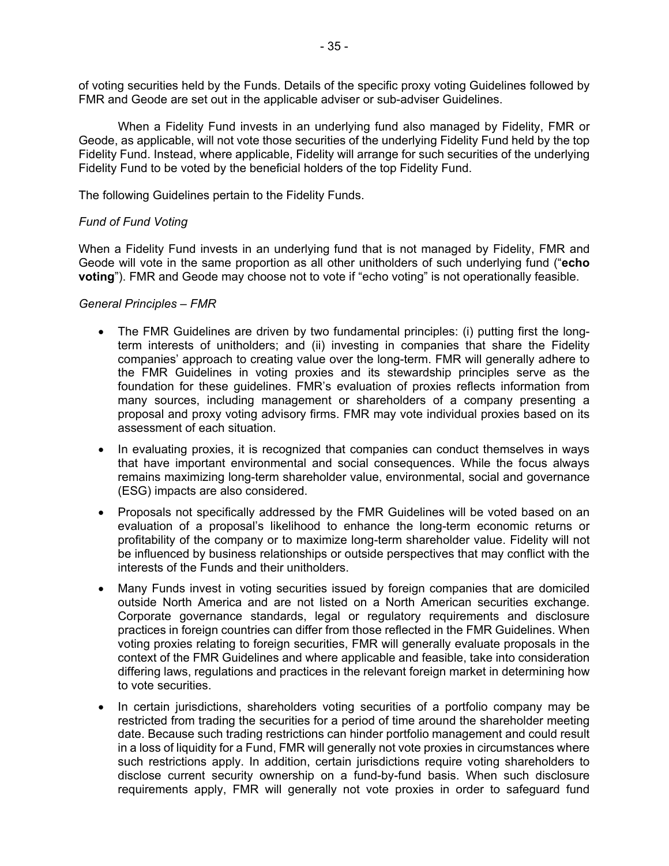of voting securities held by the Funds. Details of the specific proxy voting Guidelines followed by FMR and Geode are set out in the applicable adviser or sub-adviser Guidelines.

When a Fidelity Fund invests in an underlying fund also managed by Fidelity, FMR or Geode, as applicable, will not vote those securities of the underlying Fidelity Fund held by the top Fidelity Fund. Instead, where applicable, Fidelity will arrange for such securities of the underlying Fidelity Fund to be voted by the beneficial holders of the top Fidelity Fund.

The following Guidelines pertain to the Fidelity Funds.

# *Fund of Fund Voting*

When a Fidelity Fund invests in an underlying fund that is not managed by Fidelity, FMR and Geode will vote in the same proportion as all other unitholders of such underlying fund ("**echo voting**"). FMR and Geode may choose not to vote if "echo voting" is not operationally feasible.

## *General Principles – FMR*

- The FMR Guidelines are driven by two fundamental principles: (i) putting first the longterm interests of unitholders; and (ii) investing in companies that share the Fidelity companies' approach to creating value over the long-term. FMR will generally adhere to the FMR Guidelines in voting proxies and its stewardship principles serve as the foundation for these guidelines. FMR's evaluation of proxies reflects information from many sources, including management or shareholders of a company presenting a proposal and proxy voting advisory firms. FMR may vote individual proxies based on its assessment of each situation.
- In evaluating proxies, it is recognized that companies can conduct themselves in ways that have important environmental and social consequences. While the focus always remains maximizing long-term shareholder value, environmental, social and governance (ESG) impacts are also considered.
- Proposals not specifically addressed by the FMR Guidelines will be voted based on an evaluation of a proposal's likelihood to enhance the long-term economic returns or profitability of the company or to maximize long-term shareholder value. Fidelity will not be influenced by business relationships or outside perspectives that may conflict with the interests of the Funds and their unitholders.
- Many Funds invest in voting securities issued by foreign companies that are domiciled outside North America and are not listed on a North American securities exchange. Corporate governance standards, legal or regulatory requirements and disclosure practices in foreign countries can differ from those reflected in the FMR Guidelines. When voting proxies relating to foreign securities, FMR will generally evaluate proposals in the context of the FMR Guidelines and where applicable and feasible, take into consideration differing laws, regulations and practices in the relevant foreign market in determining how to vote securities.
- In certain jurisdictions, shareholders voting securities of a portfolio company may be restricted from trading the securities for a period of time around the shareholder meeting date. Because such trading restrictions can hinder portfolio management and could result in a loss of liquidity for a Fund, FMR will generally not vote proxies in circumstances where such restrictions apply. In addition, certain jurisdictions require voting shareholders to disclose current security ownership on a fund-by-fund basis. When such disclosure requirements apply, FMR will generally not vote proxies in order to safeguard fund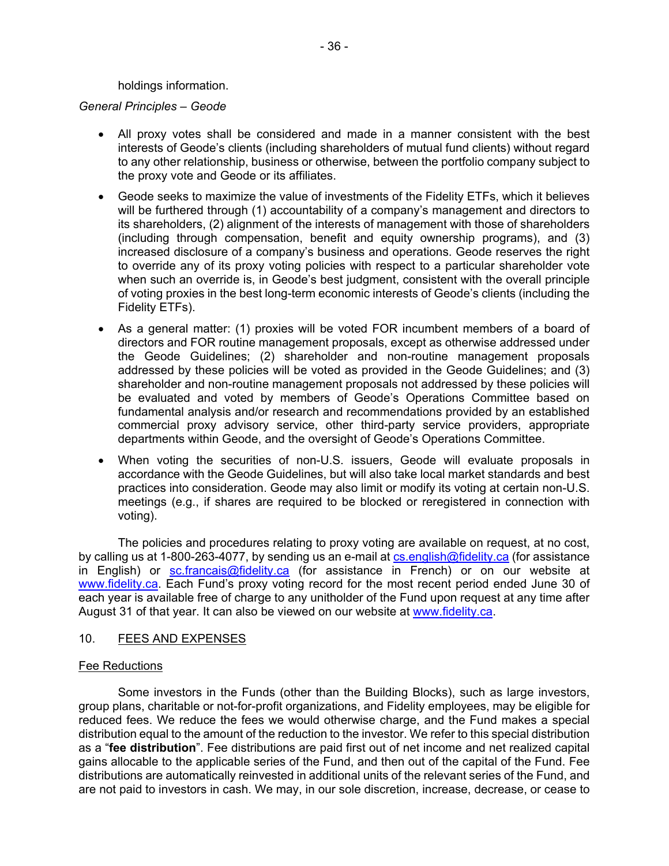holdings information.

*General Principles – Geode*

- All proxy votes shall be considered and made in a manner consistent with the best interests of Geode's clients (including shareholders of mutual fund clients) without regard to any other relationship, business or otherwise, between the portfolio company subject to the proxy vote and Geode or its affiliates.
- Geode seeks to maximize the value of investments of the Fidelity ETFs, which it believes will be furthered through (1) accountability of a company's management and directors to its shareholders, (2) alignment of the interests of management with those of shareholders (including through compensation, benefit and equity ownership programs), and (3) increased disclosure of a company's business and operations. Geode reserves the right to override any of its proxy voting policies with respect to a particular shareholder vote when such an override is, in Geode's best judgment, consistent with the overall principle of voting proxies in the best long-term economic interests of Geode's clients (including the Fidelity ETFs).
- As a general matter: (1) proxies will be voted FOR incumbent members of a board of directors and FOR routine management proposals, except as otherwise addressed under the Geode Guidelines; (2) shareholder and non-routine management proposals addressed by these policies will be voted as provided in the Geode Guidelines; and (3) shareholder and non-routine management proposals not addressed by these policies will be evaluated and voted by members of Geode's Operations Committee based on fundamental analysis and/or research and recommendations provided by an established commercial proxy advisory service, other third-party service providers, appropriate departments within Geode, and the oversight of Geode's Operations Committee.
- When voting the securities of non-U.S. issuers, Geode will evaluate proposals in accordance with the Geode Guidelines, but will also take local market standards and best practices into consideration. Geode may also limit or modify its voting at certain non-U.S. meetings (e.g., if shares are required to be blocked or reregistered in connection with voting).

The policies and procedures relating to proxy voting are available on request, at no cost, by calling us at 1-800-263-4077, by sending us an e-mail at [cs.english@fidelity.ca](mailto:cs.english@fidelity.ca) (for assistance in English) or [sc.francais@fidelity.ca](mailto:sc.francais@fidelity.ca) (for assistance in French) or on our website at [www.fidelity.ca.](http://www.fidelity.ca/) Each Fund's proxy voting record for the most recent period ended June 30 of each year is available free of charge to any unitholder of the Fund upon request at any time after August 31 of that year. It can also be viewed on our website at [www.fidelity.ca.](http://www.fidelity.ca/)

## <span id="page-37-0"></span>10. FEES AND EXPENSES

## Fee Reductions

Some investors in the Funds (other than the Building Blocks), such as large investors, group plans, charitable or not-for-profit organizations, and Fidelity employees, may be eligible for reduced fees. We reduce the fees we would otherwise charge, and the Fund makes a special distribution equal to the amount of the reduction to the investor. We refer to this special distribution as a "**fee distribution**". Fee distributions are paid first out of net income and net realized capital gains allocable to the applicable series of the Fund, and then out of the capital of the Fund. Fee distributions are automatically reinvested in additional units of the relevant series of the Fund, and are not paid to investors in cash. We may, in our sole discretion, increase, decrease, or cease to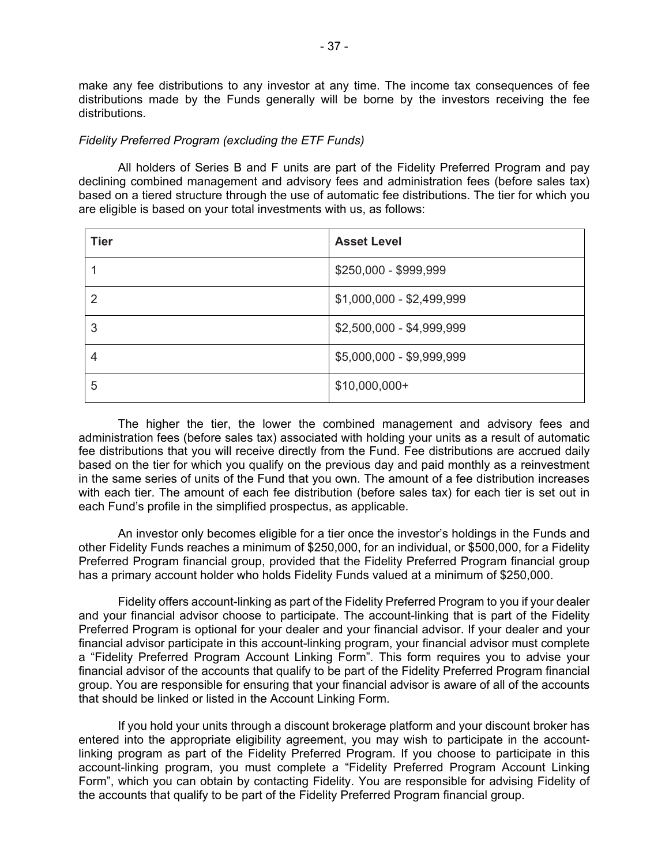make any fee distributions to any investor at any time. The income tax consequences of fee distributions made by the Funds generally will be borne by the investors receiving the fee distributions.

## *Fidelity Preferred Program (excluding the ETF Funds)*

All holders of Series B and F units are part of the Fidelity Preferred Program and pay declining combined management and advisory fees and administration fees (before sales tax) based on a tiered structure through the use of automatic fee distributions. The tier for which you are eligible is based on your total investments with us, as follows:

| <b>Tier</b> | <b>Asset Level</b>        |
|-------------|---------------------------|
|             | \$250,000 - \$999,999     |
| 2           | \$1,000,000 - \$2,499,999 |
| 3           | \$2,500,000 - \$4,999,999 |
| 4           | \$5,000,000 - \$9,999,999 |
| 5           | $$10,000,000+$            |

The higher the tier, the lower the combined management and advisory fees and administration fees (before sales tax) associated with holding your units as a result of automatic fee distributions that you will receive directly from the Fund. Fee distributions are accrued daily based on the tier for which you qualify on the previous day and paid monthly as a reinvestment in the same series of units of the Fund that you own. The amount of a fee distribution increases with each tier. The amount of each fee distribution (before sales tax) for each tier is set out in each Fund's profile in the simplified prospectus, as applicable.

An investor only becomes eligible for a tier once the investor's holdings in the Funds and other Fidelity Funds reaches a minimum of \$250,000, for an individual, or \$500,000, for a Fidelity Preferred Program financial group, provided that the Fidelity Preferred Program financial group has a primary account holder who holds Fidelity Funds valued at a minimum of \$250,000.

Fidelity offers account-linking as part of the Fidelity Preferred Program to you if your dealer and your financial advisor choose to participate. The account-linking that is part of the Fidelity Preferred Program is optional for your dealer and your financial advisor. If your dealer and your financial advisor participate in this account-linking program, your financial advisor must complete a "Fidelity Preferred Program Account Linking Form". This form requires you to advise your financial advisor of the accounts that qualify to be part of the Fidelity Preferred Program financial group. You are responsible for ensuring that your financial advisor is aware of all of the accounts that should be linked or listed in the Account Linking Form.

If you hold your units through a discount brokerage platform and your discount broker has entered into the appropriate eligibility agreement, you may wish to participate in the accountlinking program as part of the Fidelity Preferred Program. If you choose to participate in this account-linking program, you must complete a "Fidelity Preferred Program Account Linking Form", which you can obtain by contacting Fidelity. You are responsible for advising Fidelity of the accounts that qualify to be part of the Fidelity Preferred Program financial group.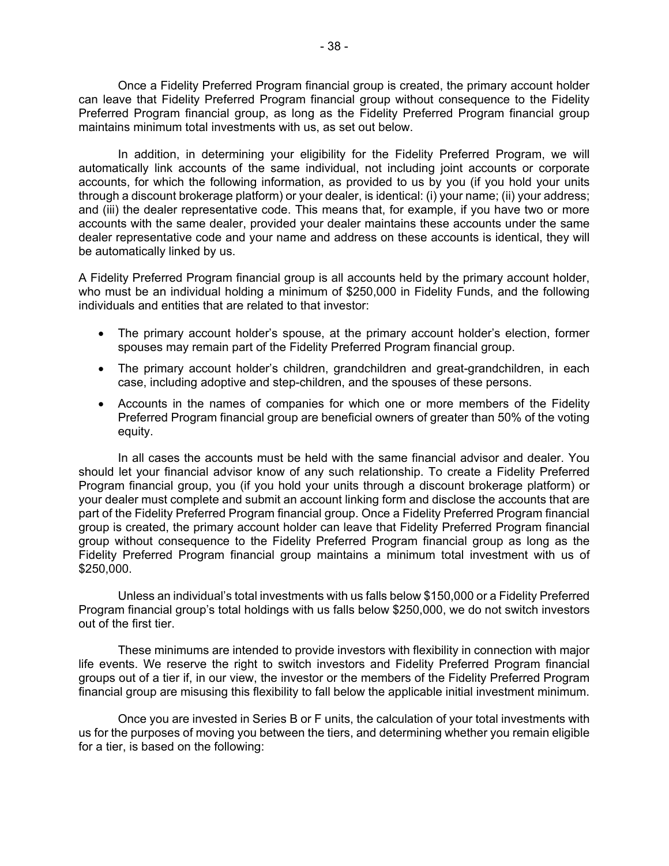Once a Fidelity Preferred Program financial group is created, the primary account holder can leave that Fidelity Preferred Program financial group without consequence to the Fidelity Preferred Program financial group, as long as the Fidelity Preferred Program financial group maintains minimum total investments with us, as set out below.

In addition, in determining your eligibility for the Fidelity Preferred Program, we will automatically link accounts of the same individual, not including joint accounts or corporate accounts, for which the following information, as provided to us by you (if you hold your units through a discount brokerage platform) or your dealer, is identical: (i) your name; (ii) your address; and (iii) the dealer representative code. This means that, for example, if you have two or more accounts with the same dealer, provided your dealer maintains these accounts under the same dealer representative code and your name and address on these accounts is identical, they will be automatically linked by us.

A Fidelity Preferred Program financial group is all accounts held by the primary account holder, who must be an individual holding a minimum of \$250,000 in Fidelity Funds, and the following individuals and entities that are related to that investor:

- The primary account holder's spouse, at the primary account holder's election, former spouses may remain part of the Fidelity Preferred Program financial group.
- The primary account holder's children, grandchildren and great-grandchildren, in each case, including adoptive and step-children, and the spouses of these persons.
- Accounts in the names of companies for which one or more members of the Fidelity Preferred Program financial group are beneficial owners of greater than 50% of the voting equity.

In all cases the accounts must be held with the same financial advisor and dealer. You should let your financial advisor know of any such relationship. To create a Fidelity Preferred Program financial group, you (if you hold your units through a discount brokerage platform) or your dealer must complete and submit an account linking form and disclose the accounts that are part of the Fidelity Preferred Program financial group. Once a Fidelity Preferred Program financial group is created, the primary account holder can leave that Fidelity Preferred Program financial group without consequence to the Fidelity Preferred Program financial group as long as the Fidelity Preferred Program financial group maintains a minimum total investment with us of \$250,000.

Unless an individual's total investments with us falls below \$150,000 or a Fidelity Preferred Program financial group's total holdings with us falls below \$250,000, we do not switch investors out of the first tier.

These minimums are intended to provide investors with flexibility in connection with major life events. We reserve the right to switch investors and Fidelity Preferred Program financial groups out of a tier if, in our view, the investor or the members of the Fidelity Preferred Program financial group are misusing this flexibility to fall below the applicable initial investment minimum.

Once you are invested in Series B or F units, the calculation of your total investments with us for the purposes of moving you between the tiers, and determining whether you remain eligible for a tier, is based on the following: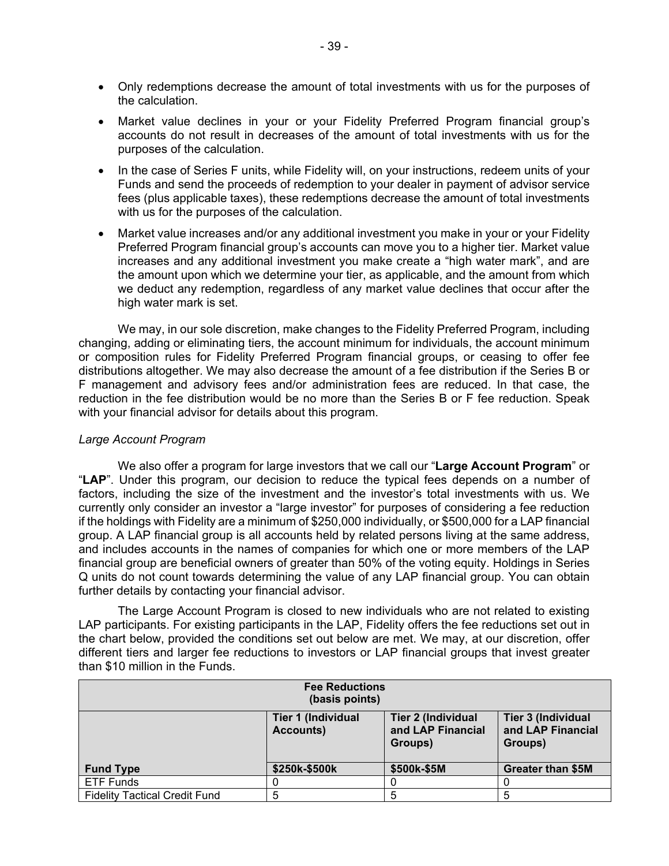- Only redemptions decrease the amount of total investments with us for the purposes of the calculation.
- Market value declines in your or your Fidelity Preferred Program financial group's accounts do not result in decreases of the amount of total investments with us for the purposes of the calculation.
- In the case of Series F units, while Fidelity will, on your instructions, redeem units of your Funds and send the proceeds of redemption to your dealer in payment of advisor service fees (plus applicable taxes), these redemptions decrease the amount of total investments with us for the purposes of the calculation.
- Market value increases and/or any additional investment you make in your or your Fidelity Preferred Program financial group's accounts can move you to a higher tier. Market value increases and any additional investment you make create a "high water mark", and are the amount upon which we determine your tier, as applicable, and the amount from which we deduct any redemption, regardless of any market value declines that occur after the high water mark is set.

We may, in our sole discretion, make changes to the Fidelity Preferred Program, including changing, adding or eliminating tiers, the account minimum for individuals, the account minimum or composition rules for Fidelity Preferred Program financial groups, or ceasing to offer fee distributions altogether. We may also decrease the amount of a fee distribution if the Series B or F management and advisory fees and/or administration fees are reduced. In that case, the reduction in the fee distribution would be no more than the Series B or F fee reduction. Speak with your financial advisor for details about this program.

## *Large Account Program*

We also offer a program for large investors that we call our "**Large Account Program**" or "**LAP**". Under this program, our decision to reduce the typical fees depends on a number of factors, including the size of the investment and the investor's total investments with us. We currently only consider an investor a "large investor" for purposes of considering a fee reduction if the holdings with Fidelity are a minimum of \$250,000 individually, or \$500,000 for a LAP financial group. A LAP financial group is all accounts held by related persons living at the same address, and includes accounts in the names of companies for which one or more members of the LAP financial group are beneficial owners of greater than 50% of the voting equity. Holdings in Series Q units do not count towards determining the value of any LAP financial group. You can obtain further details by contacting your financial advisor.

The Large Account Program is closed to new individuals who are not related to existing LAP participants. For existing participants in the LAP, Fidelity offers the fee reductions set out in the chart below, provided the conditions set out below are met. We may, at our discretion, offer different tiers and larger fee reductions to investors or LAP financial groups that invest greater than \$10 million in the Funds.

| <b>Fee Reductions</b><br>(basis points) |                                        |                                                           |                                                           |
|-----------------------------------------|----------------------------------------|-----------------------------------------------------------|-----------------------------------------------------------|
|                                         | <b>Tier 1 (Individual</b><br>Accounts) | <b>Tier 2 (Individual</b><br>and LAP Financial<br>Groups) | <b>Tier 3 (Individual</b><br>and LAP Financial<br>Groups) |
| <b>Fund Type</b>                        | \$250k-\$500k                          | \$500k-\$5M                                               | <b>Greater than \$5M</b>                                  |
| <b>ETF Funds</b>                        |                                        |                                                           |                                                           |
| <b>Fidelity Tactical Credit Fund</b>    |                                        | 5                                                         | 5                                                         |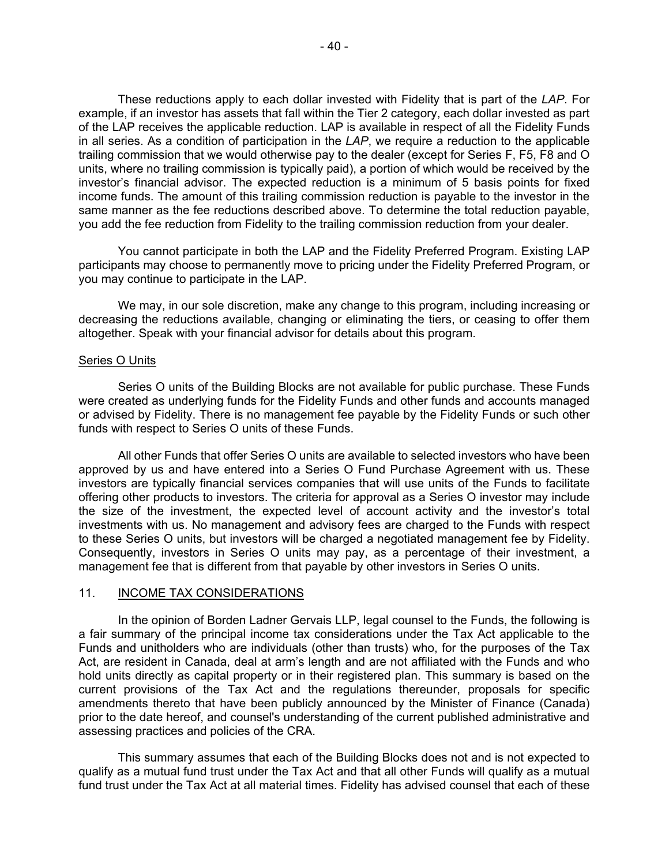These reductions apply to each dollar invested with Fidelity that is part of the *LAP*. For example, if an investor has assets that fall within the Tier 2 category, each dollar invested as part of the LAP receives the applicable reduction. LAP is available in respect of all the Fidelity Funds in all series. As a condition of participation in the *LAP*, we require a reduction to the applicable trailing commission that we would otherwise pay to the dealer (except for Series F, F5, F8 and O units, where no trailing commission is typically paid), a portion of which would be received by the investor's financial advisor. The expected reduction is a minimum of 5 basis points for fixed income funds. The amount of this trailing commission reduction is payable to the investor in the same manner as the fee reductions described above. To determine the total reduction payable, you add the fee reduction from Fidelity to the trailing commission reduction from your dealer.

You cannot participate in both the LAP and the Fidelity Preferred Program. Existing LAP participants may choose to permanently move to pricing under the Fidelity Preferred Program, or you may continue to participate in the LAP.

We may, in our sole discretion, make any change to this program, including increasing or decreasing the reductions available, changing or eliminating the tiers, or ceasing to offer them altogether. Speak with your financial advisor for details about this program.

## Series O Units

Series O units of the Building Blocks are not available for public purchase. These Funds were created as underlying funds for the Fidelity Funds and other funds and accounts managed or advised by Fidelity. There is no management fee payable by the Fidelity Funds or such other funds with respect to Series O units of these Funds.

All other Funds that offer Series O units are available to selected investors who have been approved by us and have entered into a Series O Fund Purchase Agreement with us. These investors are typically financial services companies that will use units of the Funds to facilitate offering other products to investors. The criteria for approval as a Series O investor may include the size of the investment, the expected level of account activity and the investor's total investments with us. No management and advisory fees are charged to the Funds with respect to these Series O units, but investors will be charged a negotiated management fee by Fidelity. Consequently, investors in Series O units may pay, as a percentage of their investment, a management fee that is different from that payable by other investors in Series O units.

#### <span id="page-41-0"></span>11. INCOME TAX CONSIDERATIONS

In the opinion of Borden Ladner Gervais LLP, legal counsel to the Funds, the following is a fair summary of the principal income tax considerations under the Tax Act applicable to the Funds and unitholders who are individuals (other than trusts) who, for the purposes of the Tax Act, are resident in Canada, deal at arm's length and are not affiliated with the Funds and who hold units directly as capital property or in their registered plan. This summary is based on the current provisions of the Tax Act and the regulations thereunder, proposals for specific amendments thereto that have been publicly announced by the Minister of Finance (Canada) prior to the date hereof, and counsel's understanding of the current published administrative and assessing practices and policies of the CRA.

This summary assumes that each of the Building Blocks does not and is not expected to qualify as a mutual fund trust under the Tax Act and that all other Funds will qualify as a mutual fund trust under the Tax Act at all material times. Fidelity has advised counsel that each of these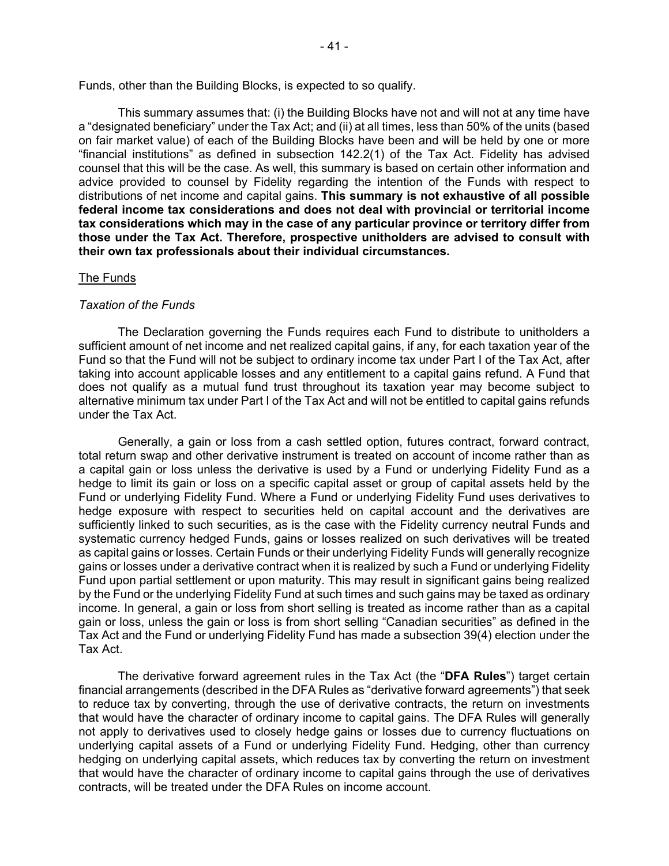Funds, other than the Building Blocks, is expected to so qualify.

This summary assumes that: (i) the Building Blocks have not and will not at any time have a "designated beneficiary" under the Tax Act; and (ii) at all times, less than 50% of the units (based on fair market value) of each of the Building Blocks have been and will be held by one or more "financial institutions" as defined in subsection 142.2(1) of the Tax Act. Fidelity has advised counsel that this will be the case. As well, this summary is based on certain other information and advice provided to counsel by Fidelity regarding the intention of the Funds with respect to distributions of net income and capital gains. **This summary is not exhaustive of all possible federal income tax considerations and does not deal with provincial or territorial income tax considerations which may in the case of any particular province or territory differ from those under the Tax Act. Therefore, prospective unitholders are advised to consult with their own tax professionals about their individual circumstances.**

## The Funds

## *Taxation of the Funds*

The Declaration governing the Funds requires each Fund to distribute to unitholders a sufficient amount of net income and net realized capital gains, if any, for each taxation year of the Fund so that the Fund will not be subject to ordinary income tax under Part I of the Tax Act, after taking into account applicable losses and any entitlement to a capital gains refund. A Fund that does not qualify as a mutual fund trust throughout its taxation year may become subject to alternative minimum tax under Part I of the Tax Act and will not be entitled to capital gains refunds under the Tax Act.

Generally, a gain or loss from a cash settled option, futures contract, forward contract, total return swap and other derivative instrument is treated on account of income rather than as a capital gain or loss unless the derivative is used by a Fund or underlying Fidelity Fund as a hedge to limit its gain or loss on a specific capital asset or group of capital assets held by the Fund or underlying Fidelity Fund. Where a Fund or underlying Fidelity Fund uses derivatives to hedge exposure with respect to securities held on capital account and the derivatives are sufficiently linked to such securities, as is the case with the Fidelity currency neutral Funds and systematic currency hedged Funds, gains or losses realized on such derivatives will be treated as capital gains or losses. Certain Funds or their underlying Fidelity Funds will generally recognize gains or losses under a derivative contract when it is realized by such a Fund or underlying Fidelity Fund upon partial settlement or upon maturity. This may result in significant gains being realized by the Fund or the underlying Fidelity Fund at such times and such gains may be taxed as ordinary income. In general, a gain or loss from short selling is treated as income rather than as a capital gain or loss, unless the gain or loss is from short selling "Canadian securities" as defined in the Tax Act and the Fund or underlying Fidelity Fund has made a subsection 39(4) election under the Tax Act.

The derivative forward agreement rules in the Tax Act (the "**DFA Rules**") target certain financial arrangements (described in the DFA Rules as "derivative forward agreements") that seek to reduce tax by converting, through the use of derivative contracts, the return on investments that would have the character of ordinary income to capital gains. The DFA Rules will generally not apply to derivatives used to closely hedge gains or losses due to currency fluctuations on underlying capital assets of a Fund or underlying Fidelity Fund. Hedging, other than currency hedging on underlying capital assets, which reduces tax by converting the return on investment that would have the character of ordinary income to capital gains through the use of derivatives contracts, will be treated under the DFA Rules on income account.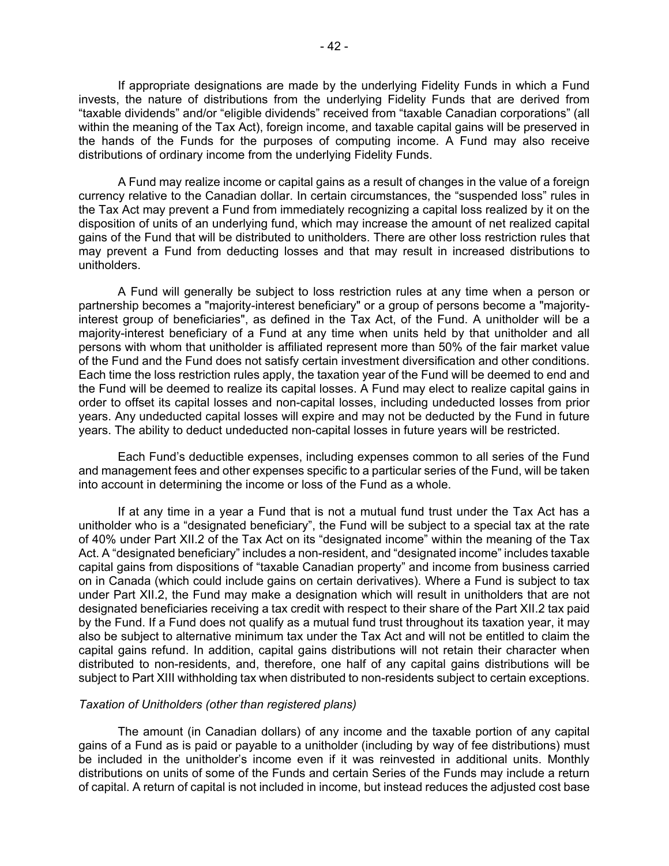If appropriate designations are made by the underlying Fidelity Funds in which a Fund invests, the nature of distributions from the underlying Fidelity Funds that are derived from "taxable dividends" and/or "eligible dividends" received from "taxable Canadian corporations" (all within the meaning of the Tax Act), foreign income, and taxable capital gains will be preserved in the hands of the Funds for the purposes of computing income. A Fund may also receive distributions of ordinary income from the underlying Fidelity Funds.

A Fund may realize income or capital gains as a result of changes in the value of a foreign currency relative to the Canadian dollar. In certain circumstances, the "suspended loss" rules in the Tax Act may prevent a Fund from immediately recognizing a capital loss realized by it on the disposition of units of an underlying fund, which may increase the amount of net realized capital gains of the Fund that will be distributed to unitholders. There are other loss restriction rules that may prevent a Fund from deducting losses and that may result in increased distributions to unitholders.

A Fund will generally be subject to loss restriction rules at any time when a person or partnership becomes a "majority-interest beneficiary" or a group of persons become a "majorityinterest group of beneficiaries", as defined in the Tax Act, of the Fund. A unitholder will be a majority-interest beneficiary of a Fund at any time when units held by that unitholder and all persons with whom that unitholder is affiliated represent more than 50% of the fair market value of the Fund and the Fund does not satisfy certain investment diversification and other conditions. Each time the loss restriction rules apply, the taxation year of the Fund will be deemed to end and the Fund will be deemed to realize its capital losses. A Fund may elect to realize capital gains in order to offset its capital losses and non-capital losses, including undeducted losses from prior years. Any undeducted capital losses will expire and may not be deducted by the Fund in future years. The ability to deduct undeducted non-capital losses in future years will be restricted.

Each Fund's deductible expenses, including expenses common to all series of the Fund and management fees and other expenses specific to a particular series of the Fund, will be taken into account in determining the income or loss of the Fund as a whole.

If at any time in a year a Fund that is not a mutual fund trust under the Tax Act has a unitholder who is a "designated beneficiary", the Fund will be subject to a special tax at the rate of 40% under Part XII.2 of the Tax Act on its "designated income" within the meaning of the Tax Act. A "designated beneficiary" includes a non-resident, and "designated income" includes taxable capital gains from dispositions of "taxable Canadian property" and income from business carried on in Canada (which could include gains on certain derivatives). Where a Fund is subject to tax under Part XII.2, the Fund may make a designation which will result in unitholders that are not designated beneficiaries receiving a tax credit with respect to their share of the Part XII.2 tax paid by the Fund. If a Fund does not qualify as a mutual fund trust throughout its taxation year, it may also be subject to alternative minimum tax under the Tax Act and will not be entitled to claim the capital gains refund. In addition, capital gains distributions will not retain their character when distributed to non-residents, and, therefore, one half of any capital gains distributions will be subject to Part XIII withholding tax when distributed to non-residents subject to certain exceptions.

#### *Taxation of Unitholders (other than registered plans)*

The amount (in Canadian dollars) of any income and the taxable portion of any capital gains of a Fund as is paid or payable to a unitholder (including by way of fee distributions) must be included in the unitholder's income even if it was reinvested in additional units. Monthly distributions on units of some of the Funds and certain Series of the Funds may include a return of capital. A return of capital is not included in income, but instead reduces the adjusted cost base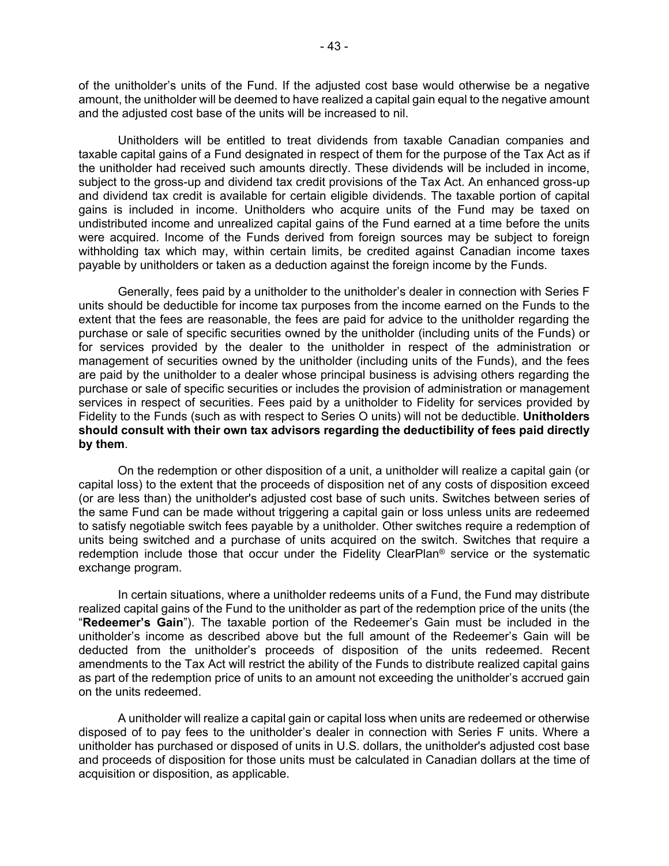of the unitholder's units of the Fund. If the adjusted cost base would otherwise be a negative amount, the unitholder will be deemed to have realized a capital gain equal to the negative amount and the adjusted cost base of the units will be increased to nil.

Unitholders will be entitled to treat dividends from taxable Canadian companies and taxable capital gains of a Fund designated in respect of them for the purpose of the Tax Act as if the unitholder had received such amounts directly. These dividends will be included in income, subject to the gross-up and dividend tax credit provisions of the Tax Act. An enhanced gross-up and dividend tax credit is available for certain eligible dividends. The taxable portion of capital gains is included in income. Unitholders who acquire units of the Fund may be taxed on undistributed income and unrealized capital gains of the Fund earned at a time before the units were acquired. Income of the Funds derived from foreign sources may be subject to foreign withholding tax which may, within certain limits, be credited against Canadian income taxes payable by unitholders or taken as a deduction against the foreign income by the Funds.

Generally, fees paid by a unitholder to the unitholder's dealer in connection with Series F units should be deductible for income tax purposes from the income earned on the Funds to the extent that the fees are reasonable, the fees are paid for advice to the unitholder regarding the purchase or sale of specific securities owned by the unitholder (including units of the Funds) or for services provided by the dealer to the unitholder in respect of the administration or management of securities owned by the unitholder (including units of the Funds), and the fees are paid by the unitholder to a dealer whose principal business is advising others regarding the purchase or sale of specific securities or includes the provision of administration or management services in respect of securities. Fees paid by a unitholder to Fidelity for services provided by Fidelity to the Funds (such as with respect to Series O units) will not be deductible. **Unitholders should consult with their own tax advisors regarding the deductibility of fees paid directly by them**.

On the redemption or other disposition of a unit, a unitholder will realize a capital gain (or capital loss) to the extent that the proceeds of disposition net of any costs of disposition exceed (or are less than) the unitholder's adjusted cost base of such units. Switches between series of the same Fund can be made without triggering a capital gain or loss unless units are redeemed to satisfy negotiable switch fees payable by a unitholder. Other switches require a redemption of units being switched and a purchase of units acquired on the switch. Switches that require a redemption include those that occur under the Fidelity ClearPlan® service or the systematic exchange program.

In certain situations, where a unitholder redeems units of a Fund, the Fund may distribute realized capital gains of the Fund to the unitholder as part of the redemption price of the units (the "**Redeemer's Gain**"). The taxable portion of the Redeemer's Gain must be included in the unitholder's income as described above but the full amount of the Redeemer's Gain will be deducted from the unitholder's proceeds of disposition of the units redeemed. Recent amendments to the Tax Act will restrict the ability of the Funds to distribute realized capital gains as part of the redemption price of units to an amount not exceeding the unitholder's accrued gain on the units redeemed.

A unitholder will realize a capital gain or capital loss when units are redeemed or otherwise disposed of to pay fees to the unitholder's dealer in connection with Series F units. Where a unitholder has purchased or disposed of units in U.S. dollars, the unitholder's adjusted cost base and proceeds of disposition for those units must be calculated in Canadian dollars at the time of acquisition or disposition, as applicable.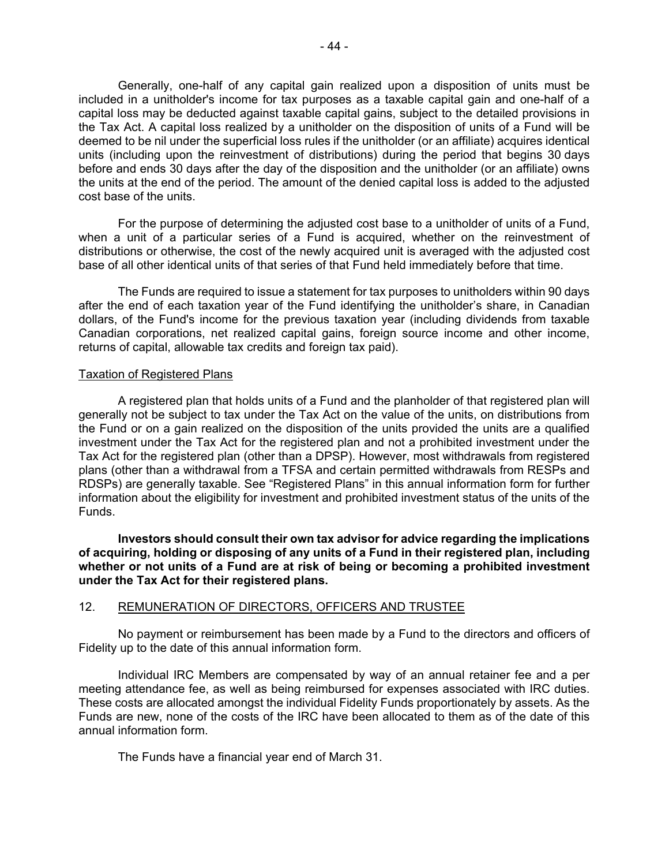Generally, one-half of any capital gain realized upon a disposition of units must be included in a unitholder's income for tax purposes as a taxable capital gain and one-half of a capital loss may be deducted against taxable capital gains, subject to the detailed provisions in the Tax Act. A capital loss realized by a unitholder on the disposition of units of a Fund will be deemed to be nil under the superficial loss rules if the unitholder (or an affiliate) acquires identical units (including upon the reinvestment of distributions) during the period that begins 30 days before and ends 30 days after the day of the disposition and the unitholder (or an affiliate) owns the units at the end of the period. The amount of the denied capital loss is added to the adjusted cost base of the units.

For the purpose of determining the adjusted cost base to a unitholder of units of a Fund, when a unit of a particular series of a Fund is acquired, whether on the reinvestment of distributions or otherwise, the cost of the newly acquired unit is averaged with the adjusted cost base of all other identical units of that series of that Fund held immediately before that time.

The Funds are required to issue a statement for tax purposes to unitholders within 90 days after the end of each taxation year of the Fund identifying the unitholder's share, in Canadian dollars, of the Fund's income for the previous taxation year (including dividends from taxable Canadian corporations, net realized capital gains, foreign source income and other income, returns of capital, allowable tax credits and foreign tax paid).

## Taxation of Registered Plans

A registered plan that holds units of a Fund and the planholder of that registered plan will generally not be subject to tax under the Tax Act on the value of the units, on distributions from the Fund or on a gain realized on the disposition of the units provided the units are a qualified investment under the Tax Act for the registered plan and not a prohibited investment under the Tax Act for the registered plan (other than a DPSP). However, most withdrawals from registered plans (other than a withdrawal from a TFSA and certain permitted withdrawals from RESPs and RDSPs) are generally taxable. See "Registered Plans" in this annual information form for further information about the eligibility for investment and prohibited investment status of the units of the Funds.

**Investors should consult their own tax advisor for advice regarding the implications of acquiring, holding or disposing of any units of a Fund in their registered plan, including whether or not units of a Fund are at risk of being or becoming a prohibited investment under the Tax Act for their registered plans.**

## 12. REMUNERATION OF DIRECTORS, OFFICERS AND TRUSTEE

No payment or reimbursement has been made by a Fund to the directors and officers of Fidelity up to the date of this annual information form.

Individual IRC Members are compensated by way of an annual retainer fee and a per meeting attendance fee, as well as being reimbursed for expenses associated with IRC duties. These costs are allocated amongst the individual Fidelity Funds proportionately by assets. As the Funds are new, none of the costs of the IRC have been allocated to them as of the date of this annual information form.

<span id="page-45-0"></span>The Funds have a financial year end of March 31.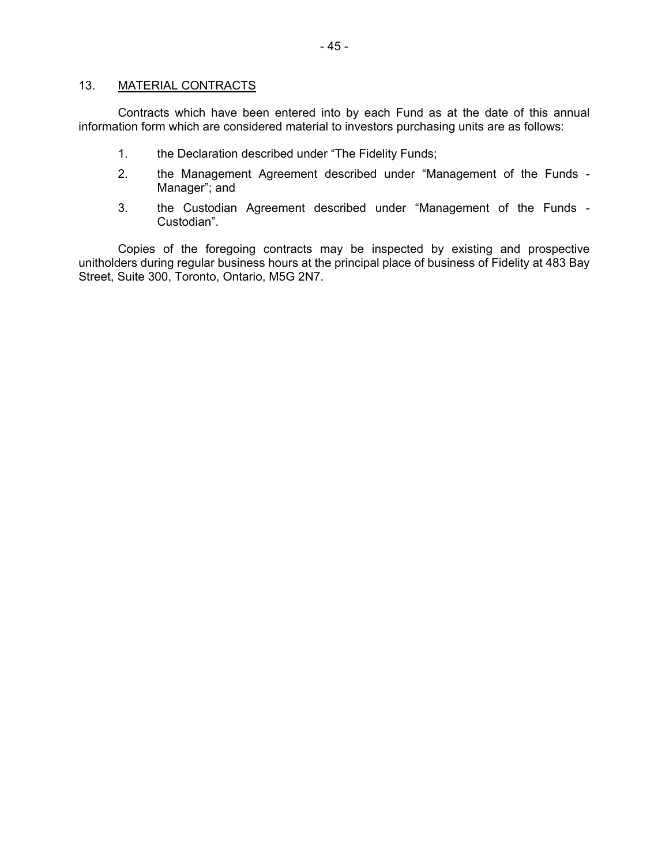## 13. MATERIAL CONTRACTS

Contracts which have been entered into by each Fund as at the date of this annual information form which are considered material to investors purchasing units are as follows:

- <span id="page-46-0"></span>1. the Declaration described under "The Fidelity Funds;
- 2. the Management Agreement described under "Management of the Funds Manager"; and
- 3. the Custodian Agreement described under "Management of the Funds Custodian".

Copies of the foregoing contracts may be inspected by existing and prospective unitholders during regular business hours at the principal place of business of Fidelity at 483 Bay Street, Suite 300, Toronto, Ontario, M5G 2N7.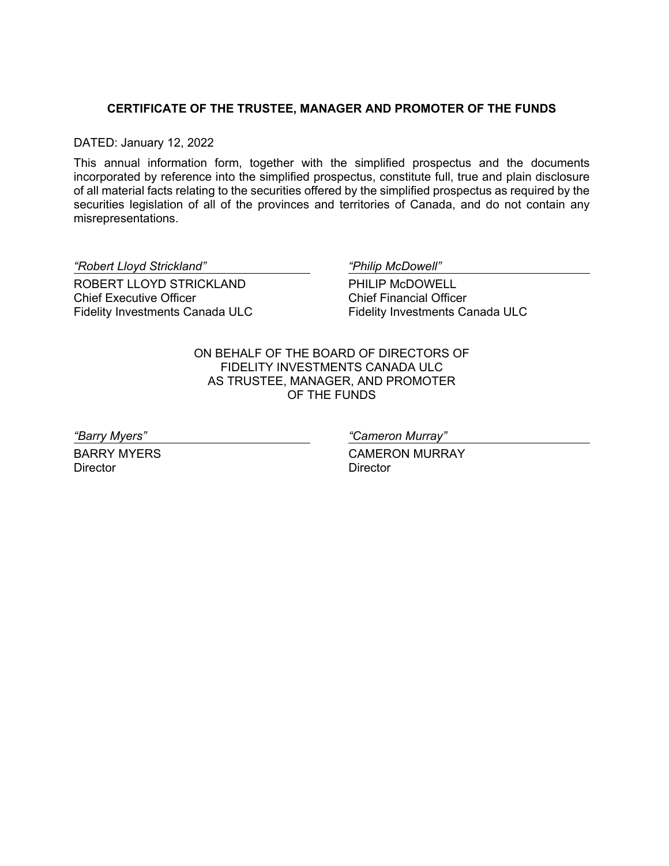# <span id="page-47-0"></span>**CERTIFICATE OF THE TRUSTEE, MANAGER AND PROMOTER OF THE FUNDS**

DATED: January 12, 2022

This annual information form, together with the simplified prospectus and the documents incorporated by reference into the simplified prospectus, constitute full, true and plain disclosure of all material facts relating to the securities offered by the simplified prospectus as required by the securities legislation of all of the provinces and territories of Canada, and do not contain any misrepresentations.

*"Robert Lloyd Strickland" "Philip McDowell"*

ROBERT LLOYD STRICKLAND Chief Executive Officer Fidelity Investments Canada ULC

PHILIP McDOWELL Chief Financial Officer Fidelity Investments Canada ULC

ON BEHALF OF THE BOARD OF DIRECTORS OF FIDELITY INVESTMENTS CANADA ULC AS TRUSTEE, MANAGER, AND PROMOTER OF THE FUNDS

BARRY MYERS **Director** 

*"Barry Myers" "Cameron Murray"*

CAMERON MURRAY **Director**